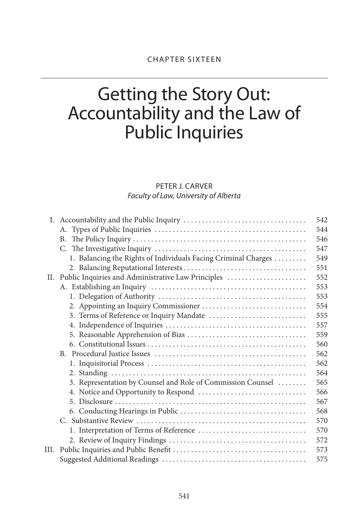# Getting the Story Out: Accountability and the Law of Public Inquiries

## PETER J. CARVER *Faculty of Law, University of Alberta*

|     |                                                                | 542 |
|-----|----------------------------------------------------------------|-----|
|     |                                                                | 544 |
|     |                                                                | 546 |
|     |                                                                | 547 |
|     | 1. Balancing the Rights of Individuals Facing Criminal Charges | 549 |
|     |                                                                | 551 |
|     | II. Public Inquiries and Administrative Law Principles         | 552 |
|     |                                                                | 553 |
|     |                                                                | 553 |
|     |                                                                | 554 |
|     |                                                                | 555 |
|     |                                                                | 557 |
|     |                                                                | 559 |
|     |                                                                | 560 |
|     |                                                                | 562 |
|     |                                                                | 562 |
|     |                                                                | 564 |
|     | 3. Representation by Counsel and Role of Commission Counsel    | 565 |
|     |                                                                | 566 |
|     |                                                                | 567 |
|     |                                                                | 568 |
|     |                                                                | 570 |
|     |                                                                | 570 |
|     |                                                                | 572 |
| HI. |                                                                | 573 |
|     |                                                                | 575 |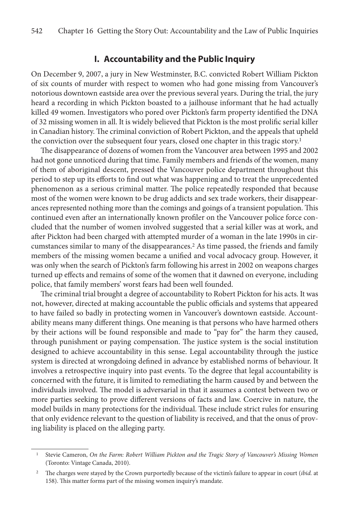## **I. Accountability and the Public Inquiry**

<span id="page-1-0"></span>On December 9, 2007, a jury in New Westminster, B.C. convicted Robert William Pickton of six counts of murder with respect to women who had gone missing from Vancouver's notorious downtown eastside area over the previous several years. During the trial, the jury heard a recording in which Pickton boasted to a jailhouse informant that he had actually killed 49 women. Investigators who pored over Pickton's farm property identified the DNA of 32 missing women in all. It is widely believed that Pickton is the most prolific serial killer in Canadian history. The criminal conviction of Robert Pickton, and the appeals that upheld the conviction over the subsequent four years, closed one chapter in this tragic story.1

The disappearance of dozens of women from the Vancouver area between 1995 and 2002 had not gone unnoticed during that time. Family members and friends of the women, many of them of aboriginal descent, pressed the Vancouver police department throughout this period to step up its efforts to find out what was happening and to treat the unprecedented phenomenon as a serious criminal matter. The police repeatedly responded that because most of the women were known to be drug addicts and sex trade workers, their disappearances represented nothing more than the comings and goings of a transient population. This continued even after an internationally known profiler on the Vancouver police force concluded that the number of women involved suggested that a serial killer was at work, and after Pickton had been charged with attempted murder of a woman in the late 1990s in circumstances similar to many of the disappearances.2 As time passed, the friends and family members of the missing women became a unified and vocal advocacy group. However, it was only when the search of Pickton's farm following his arrest in 2002 on weapons charges turned up effects and remains of some of the women that it dawned on everyone, including police, that family members' worst fears had been well founded.

The criminal trial brought a degree of accountability to Robert Pickton for his acts. It was not, however, directed at making accountable the public officials and systems that appeared to have failed so badly in protecting women in Vancouver's downtown eastside. Accountability means many different things. One meaning is that persons who have harmed others by their actions will be found responsible and made to "pay for" the harm they caused, through punishment or paying compensation. The justice system is the social institution designed to achieve accountability in this sense. Legal accountability through the justice system is directed at wrongdoing defined in advance by established norms of behaviour. It involves a retrospective inquiry into past events. To the degree that legal accountability is concerned with the future, it is limited to remediating the harm caused by and between the individuals involved. The model is adversarial in that it assumes a contest between two or more parties seeking to prove different versions of facts and law. Coercive in nature, the model builds in many protections for the individual. These include strict rules for ensuring that only evidence relevant to the question of liability is received, and that the onus of proving liability is placed on the alleging party.

Stevie Cameron, *On the Farm: Robert William Pickton and the Tragic Story of Vancouver's Missing Women* (Toronto: Vintage Canada, 2010).

<sup>2</sup> The charges were stayed by the Crown purportedly because of the victim's failure to appear in court (*ibid.* at 158). This matter forms part of the missing women inquiry's mandate.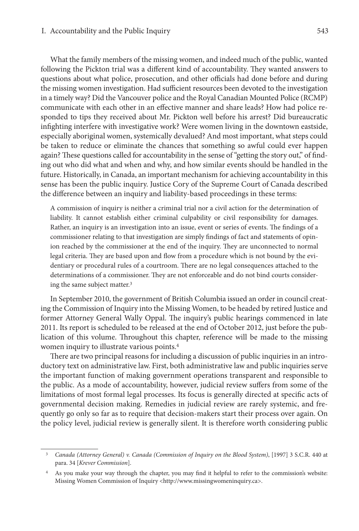#### I. Accountability and the Public Inquiry 543

What the family members of the missing women, and indeed much of the public, wanted following the Pickton trial was a different kind of accountability. They wanted answers to questions about what police, prosecution, and other officials had done before and during the missing women investigation. Had sufficient resources been devoted to the investigation in a timely way? Did the Vancouver police and the Royal Canadian Mounted Police (RCMP) communicate with each other in an effective manner and share leads? How had police responded to tips they received about Mr. Pickton well before his arrest? Did bureaucratic infighting interfere with investigative work? Were women living in the downtown eastside, especially aboriginal women, systemically devalued? And most important, what steps could be taken to reduce or eliminate the chances that something so awful could ever happen again? These questions called for accountability in the sense of "getting the story out," of finding out who did what and when and why, and how similar events should be handled in the future. Historically, in Canada, an important mechanism for achieving accountability in this sense has been the public inquiry. Justice Cory of the Supreme Court of Canada described the difference between an inquiry and liability-based proceedings in these terms:

A commission of inquiry is neither a criminal trial nor a civil action for the determination of liability. It cannot establish either criminal culpability or civil responsibility for damages. Rather, an inquiry is an investigation into an issue, event or series of events. The findings of a commissioner relating to that investigation are simply findings of fact and statements of opinion reached by the commissioner at the end of the inquiry. They are unconnected to normal legal criteria. They are based upon and flow from a procedure which is not bound by the evidentiary or procedural rules of a courtroom. There are no legal consequences attached to the determinations of a commissioner. They are not enforceable and do not bind courts considering the same subject matter.3

In September 2010, the government of British Columbia issued an order in council creating the Commission of Inquiry into the Missing Women, to be headed by retired Justice and former Attorney General Wally Oppal. The inquiry's public hearings commenced in late 2011. Its report is scheduled to be released at the end of October 2012, just before the publication of this volume. Throughout this chapter, reference will be made to the missing women inquiry to illustrate various points.4

There are two principal reasons for including a discussion of public inquiries in an introductory text on administrative law. First, both administrative law and public inquiries serve the important function of making government operations transparent and responsible to the public. As a mode of accountability, however, judicial review suffers from some of the limitations of most formal legal processes. Its focus is generally directed at specific acts of governmental decision making. Remedies in judicial review are rarely systemic, and frequently go only so far as to require that decision-makers start their process over again. On the policy level, judicial review is generally silent. It is therefore worth considering public

<sup>3</sup> *Canada (Attorney General) v. Canada (Commission of Inquiry on the Blood System)*, [1997] 3 S.C.R. 440 at para. 34 [*Krever Commission*].

As you make your way through the chapter, you may find it helpful to refer to the commission's website: Missing Women Commission of Inquiry <<http://www.missingwomeninquiry.ca>>.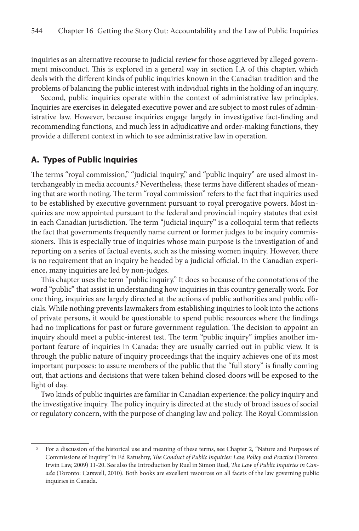<span id="page-3-0"></span>inquiries as an alternative recourse to judicial review for those aggrieved by alleged government misconduct. This is explored in a general way in section I.A of this chapter, which deals with the different kinds of public inquiries known in the Canadian tradition and the problems of balancing the public interest with individual rights in the holding of an inquiry.

Second, public inquiries operate within the context of administrative law principles. Inquiries are exercises in delegated executive power and are subject to most rules of administrative law. However, because inquiries engage largely in investigative fact-finding and recommending functions, and much less in adjudicative and order-making functions, they provide a different context in which to see administrative law in operation.

## **A. Types of Public Inquiries**

The terms "royal commission," "judicial inquiry," and "public inquiry" are used almost interchangeably in media accounts.<sup>5</sup> Nevertheless, these terms have different shades of meaning that are worth noting. The term "royal commission" refers to the fact that inquiries used to be established by executive government pursuant to royal prerogative powers. Most inquiries are now appointed pursuant to the federal and provincial inquiry statutes that exist in each Canadian jurisdiction. The term "judicial inquiry" is a colloquial term that reflects the fact that governments frequently name current or former judges to be inquiry commissioners. This is especially true of inquiries whose main purpose is the investigation of and reporting on a series of factual events, such as the missing women inquiry. However, there is no requirement that an inquiry be headed by a judicial official. In the Canadian experience, many inquiries are led by non-judges.

This chapter uses the term "public inquiry." It does so because of the connotations of the word "public" that assist in understanding how inquiries in this country generally work. For one thing, inquiries are largely directed at the actions of public authorities and public officials. While nothing prevents lawmakers from establishing inquiries to look into the actions of private persons, it would be questionable to spend public resources where the findings had no implications for past or future government regulation. The decision to appoint an inquiry should meet a public-interest test. The term "public inquiry" implies another important feature of inquiries in Canada: they are usually carried out in public view. It is through the public nature of inquiry proceedings that the inquiry achieves one of its most important purposes: to assure members of the public that the "full story" is finally coming out, that actions and decisions that were taken behind closed doors will be exposed to the light of day.

Two kinds of public inquiries are familiar in Canadian experience: the policy inquiry and the investigative inquiry. The policy inquiry is directed at the study of broad issues of social or regulatory concern, with the purpose of changing law and policy. The Royal Commission

For a discussion of the historical use and meaning of these terms, see Chapter 2, "Nature and Purposes of Commissions of Inquiry" in Ed Ratushny, *The Conduct of Public Inquiries: Law, Policy and Practice* (Toronto: Irwin Law, 2009) 11-20. See also the Introduction by Ruel in Simon Ruel, *The Law of Public Inquiries in Canada* (Toronto: Carswell, 2010). Both books are excellent resources on all facets of the law governing public inquiries in Canada.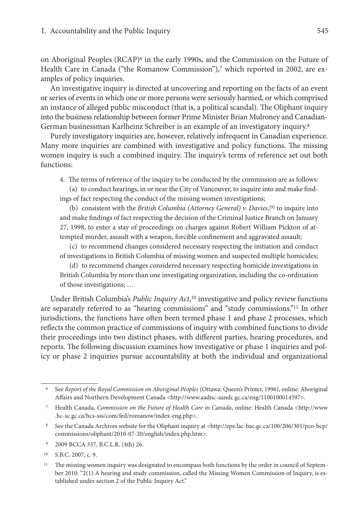on Aboriginal Peoples (RCAP)<sup>6</sup> in the early 1990s, and the Commission on the Future of Health Care in Canada ("the Romanow Commission"),<sup>7</sup> which reported in 2002, are examples of policy inquiries.

An investigative inquiry is directed at uncovering and reporting on the facts of an event or series of events in which one or more persons were seriously harmed, or which comprised an instance of alleged public misconduct (that is, a political scandal). The Oliphant inquiry into the businessrelationship between former Prime Minister Brian Mulroney and Canadian-German businessman Karlheinz Schreiber is an example of an investigatory inquiry.8

Purely investigatory inquiries are, however, relatively infrequent in Canadian experience. Many more inquiries are combined with investigative and policy functions. The missing women inquiry is such a combined inquiry. The inquiry's terms of reference set out both functions:

4. The terms of reference of the inquiry to be conducted by the commission are as follows:

(a) to conduct hearings, in or near the City of Vancouver, to inquire into and make findings of fact respecting the conduct of the missing women investigations;

(b) consistent with the *British Columbia (Attorney General) v. Davies*, [9] to inquire into and make findings of fact respecting the decision of the Criminal Justice Branch on January 27, 1998, to enter a stay of proceedings on charges against Robert William Pickton of attempted murder, assault with a weapon, forcible confinement and aggravated assault;

(c) to recommend changes considered necessary respecting the initiation and conduct of investigations in British Columbia of missing women and suspected multiple homicides;

(d) to recommend changes considered necessary respecting homicide investigations in British Columbia by more than one investigating organization, including the co-ordination of those investigations; …

Under British Columbia's *Public Inquiry Act*, <sup>10</sup> investigative and policy review functions are separately referred to as "hearing commissions" and "study commissions."11 In other jurisdictions, the functions have often been termed phase 1 and phase 2 processes, which reflects the common practice of commissions of inquiry with combined functions to divide their proceedings into two distinct phases, with different parties, hearing procedures, and reports. The following discussion examines how investigative or phase 1 inquiries and policy or phase 2 inquiries pursue accountability at both the individual and organizational

<sup>6</sup> See *Report of the Royal Commission on Aboriginal Peoples* (Ottawa: Queen's Printer, 1996), online: Aboriginal Affairs and Northern Development Canada <[http://www.aadnc-aandc.gc.ca/eng/1100100014597>](http://www.aadnc-aandc.gc.ca/eng/1100100014597).

<sup>7</sup> Health Canada, *Commission on the Future of Health Care in Canada*, online: Health Canada [<http://www](http://www.hc-sc.gc.ca/hcs-sss/com/fed/romanow/index-eng.php) [.hc-sc.gc.ca/hcs-sss/com/fed/romanow/index-eng.php>](http://www.hc-sc.gc.ca/hcs-sss/com/fed/romanow/index-eng.php).

<sup>8</sup> See the Canada Archives website for the Oliphant inquiry at <[http://epe.lac-bac.gc.ca/100/206/301/pco-bcp/](http://epe.lac-bac.gc.ca/100/206/301/pco-bcp/commissions/oliphant/2010-07-20/english/index.php.htm) [commissions/oliphant/2010-07-20/english/index.php.htm](http://epe.lac-bac.gc.ca/100/206/301/pco-bcp/commissions/oliphant/2010-07-20/english/index.php.htm)>.

<sup>9 2009</sup> BCCA 337, B.C.L.R. (4th) 26.

<sup>10</sup> S.B.C. 2007, c. 9.

<sup>&</sup>lt;sup>11</sup> The missing women inquiry was designated to encompass both functions by the order in council of September 2010: "2(1) A hearing and study commission, called the Missing Women Commission of Inquiry, is established under section 2 of the Public Inquiry Act."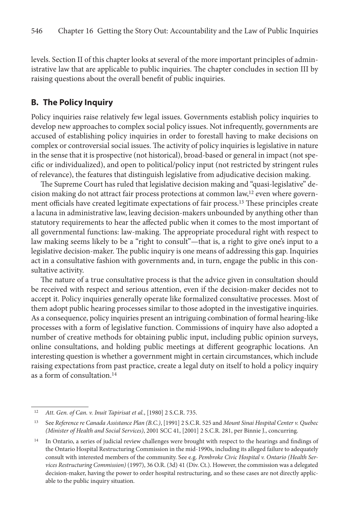<span id="page-5-0"></span>levels. Section II of this chapter looks at several of the more important principles of administrative law that are applicable to public inquiries. The chapter concludes in section III by raising questions about the overall benefit of public inquiries.

## **B. The Policy Inquiry**

Policy inquiries raise relatively few legal issues. Governments establish policy inquiries to develop new approaches to complex social policy issues. Not infrequently, governments are accused of establishing policy inquiries in order to forestall having to make decisions on complex or controversial social issues. The activity of policy inquiries is legislative in nature in the sense that it is prospective (not historical), broad-based or general in impact (not specific or individualized), and open to political/policy input (not restricted by stringent rules of relevance), the features that distinguish legislative from adjudicative decision making.

The Supreme Court has ruled that legislative decision making and "quasi-legislative" decision making do not attract fair process protections at common law,12 even where government officials have created legitimate expectations of fair process.<sup>13</sup> These principles create a lacuna in administrative law, leaving decision-makers unbounded by anything other than statutory requirements to hear the affected public when it comes to the most important of all governmental functions: law-making. The appropriate procedural right with respect to law making seems likely to be a "right to consult"—that is, a right to give one's input to a legislative decision-maker. The public inquiry is one means of addressing this gap. Inquiries act in a consultative fashion with governments and, in turn, engage the public in this consultative activity.

The nature of a true consultative process is that the advice given in consultation should be received with respect and serious attention, even if the decision-maker decides not to accept it. Policy inquiries generally operate like formalized consultative processes. Most of them adopt public hearing processes similar to those adopted in the investigative inquiries. As a consequence, policy inquiries present an intriguing combination of formal hearing-like processes with a form of legislative function. Commissions of inquiry have also adopted a number of creative methods for obtaining public input, including public opinion surveys, online consultations, and holding public meetings at different geographic locations. An interesting question is whether a government might in certain circumstances, which include raising expectations from past practice, create a legal duty on itself to hold a policy inquiry as a form of consultation.14

<sup>12</sup> *Att. Gen. of Can. v. Inuit Tapirisat et al.*, [1980] 2 S.C.R. 735.

<sup>13</sup> See *Reference re Canada Assistance Plan (B.C.)*, [1991] 2 S.C.R. 525 and *Mount Sinai Hospital Center v. Quebec (Minister of Health and Social Services)*, 2001 SCC 41, [2001] 2 S.C.R. 281, per Binnie J., concurring.

<sup>&</sup>lt;sup>14</sup> In Ontario, a series of judicial review challenges were brought with respect to the hearings and findings of the Ontario Hospital Restructuring Commission in the mid-1990s, including its alleged failure to adequately consult with interested members of the community. See e.g. *Pembroke Civic Hospital v. Ontario (Health Services Restructuring Commission)* (1997), 36 O.R. (3d) 41 (Div. Ct.). However, the commission was a delegated decision-maker, having the power to order hospital restructuring, and so these cases are not directly applicable to the public inquiry situation.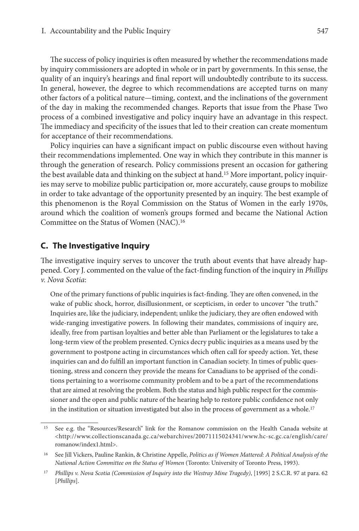<span id="page-6-0"></span>The success of policy inquiries is often measured by whether the recommendations made by inquiry commissioners are adopted in whole or in part by governments. In this sense, the quality of an inquiry's hearings and final report will undoubtedly contribute to its success. In general, however, the degree to which recommendations are accepted turns on many other factors of a political nature—timing, context, and the inclinations of the government of the day in making the recommended changes. Reports that issue from the Phase Two process of a combined investigative and policy inquiry have an advantage in this respect. The immediacy and specificity of the issues that led to their creation can create momentum for acceptance of their recommendations.

Policy inquiries can have a significant impact on public discourse even without having their recommendations implemented. One way in which they contribute in this manner is through the generation of research. Policy commissions present an occasion for gathering the best available data and thinking on the subject at hand.15 More important, policy inquiries may serve to mobilize public participation or, more accurately, cause groups to mobilize in order to take advantage of the opportunity presented by an inquiry. The best example of this phenomenon is the Royal Commission on the Status of Women in the early 1970s, around which the coalition of women's groups formed and became the National Action Committee on the Status of Women (NAC).16

## **C. The Investigative Inquiry**

The investigative inquiry serves to uncover the truth about events that have already happened. Cory J. commented on the value of the fact-finding function of the inquiry in *Phillips v. Nova Scotia*:

One of the primary functions of public inquiries is fact-finding. They are often convened, in the wake of public shock, horror, disillusionment, or scepticism, in order to uncover "the truth." Inquiries are, like the judiciary, independent; unlike the judiciary, they are often endowed with wide-ranging investigative powers. In following their mandates, commissions of inquiry are, ideally, free from partisan loyalties and better able than Parliament or the legislatures to take a long-term view of the problem presented. Cynics decry public inquiries as a means used by the government to postpone acting in circumstances which often call for speedy action. Yet, these inquiries can and do fulfill an important function in Canadian society. In times of public questioning, stress and concern they provide the means for Canadians to be apprised of the conditions pertaining to a worrisome community problem and to be a part of the recommendations that are aimed at resolving the problem. Both the status and high public respect for the commissioner and the open and public nature of the hearing help to restore public confidence not only in the institution or situation investigated but also in the process of government as a whole.<sup>17</sup>

<sup>&</sup>lt;sup>15</sup> See e.g. the "Resources/Research" link for the Romanow commission on the Health Canada website at <[http://www.collectionscanada.gc.ca/webarchives/20071115024341/www.hc-sc.gc.ca/english/care/](http://www.collectionscanada.gc.ca/webarchives/20071115024341/www.hc-sc.gc.ca/english/care/romanow/index1.html) [romanow/index1.html](http://www.collectionscanada.gc.ca/webarchives/20071115024341/www.hc-sc.gc.ca/english/care/romanow/index1.html)>.

<sup>&</sup>lt;sup>16</sup> See Jill Vickers, Pauline Rankin, & Christine Appelle, *Politics as if Women Mattered: A Political Analysis of the National Action Committee on the Status of Women* (Toronto: University of Toronto Press, 1993).

<sup>17</sup> *Phillips v. Nova Scotia (Commission of Inquiry into the Westray Mine Tragedy)*, [1995] 2 S.C.R. 97 at para. 62 [*Phillips*].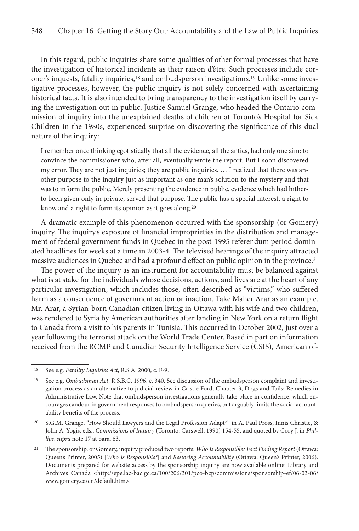In this regard, public inquiries share some qualities of other formal processes that have the investigation of historical incidents as their raison d'être. Such processes include coroner's inquests, fatality inquiries,<sup>18</sup> and ombudsperson investigations.<sup>19</sup> Unlike some investigative processes, however, the public inquiry is not solely concerned with ascertaining historical facts. It is also intended to bring transparency to the investigation itself by carrying the investigation out in public. Justice Samuel Grange, who headed the Ontario commission of inquiry into the unexplained deaths of children at Toronto's Hospital for Sick Children in the 1980s, experienced surprise on discovering the significance of this dual nature of the inquiry:

I remember once thinking egotistically that all the evidence, all the antics, had only one aim: to convince the commissioner who, after all, eventually wrote the report. But I soon discovered my error. They are not just inquiries; they are public inquiries. … I realized that there was another purpose to the inquiry just as important as one man's solution to the mystery and that was to inform the public. Merely presenting the evidence in public, evidence which had hitherto been given only in private, served that purpose. The public has a special interest, a right to know and a right to form its opinion as it goes along.20

A dramatic example of this phenomenon occurred with the sponsorship (or Gomery) inquiry. The inquiry's exposure of financial improprieties in the distribution and management of federal government funds in Quebec in the post-1995 referendum period dominated headlines for weeks at a time in 2003-4. The televised hearings of the inquiry attracted massive audiences in Quebec and had a profound effect on public opinion in the province.<sup>21</sup>

The power of the inquiry as an instrument for accountability must be balanced against what is at stake for the individuals whose decisions, actions, and lives are at the heart of any particular investigation, which includes those, often described as "victims," who suffered harm as a consequence of government action or inaction. Take Maher Arar as an example. Mr. Arar, a Syrian-born Canadian citizen living in Ottawa with his wife and two children, was rendered to Syria by American authorities after landing in New York on a return flight to Canada from a visit to his parents in Tunisia. This occurred in October 2002, just over a year following the terrorist attack on the World Trade Center. Based in part on information received from the RCMP and Canadian Security Intelligence Service (CSIS), American of-

<sup>18</sup> See e.g. *Fatality Inquiries Act*, R.S.A. 2000, c. F-9.

<sup>&</sup>lt;sup>19</sup> See e.g. *Ombudsman Act*, R.S.B.C. 1996, c. 340. See discussion of the ombudsperson complaint and investigation process as an alternative to judicial review in Cristie Ford, Chapter 3, Dogs and Tails: Remedies in Administrative Law. Note that ombudsperson investigations generally take place in confidence, which encourages candour in government responses to ombudsperson queries, but arguably limits the social accountability benefits of the process.

<sup>20</sup> S.G.M. Grange, "How Should Lawyers and the Legal Profession Adapt?" in A. Paul Pross, Innis Christie, & John A. Yogis, eds., *Commissions of Inquiry* (Toronto: Carswell, 1990) 154-55, and quoted by Cory J. in *Phillips*, *supra* note 17 at para. 63.

<sup>&</sup>lt;sup>21</sup> The sponsorship, or Gomery, inquiry produced two reports: *Who Is Responsible? Fact Finding Report* (Ottawa: Queen's Printer, 2005) [*Who Is Responsible?*] and *Restoring Accountability* (Ottawa: Queen's Printer, 2006). Documents prepared for website access by the sponsorship inquiry are now available online: Library and Archives Canada <[http://epe.lac-bac.gc.ca/100/206/301/pco-bcp/commissions/sponsorship-ef/06-03-06/](http://epe.lac-bac.gc.ca/100/206/301/pco-bcp/commissions/sponsorship-ef/06-03-06/www.gomery.ca/en/default.htm) [www.gomery.ca/en/default.htm>](http://epe.lac-bac.gc.ca/100/206/301/pco-bcp/commissions/sponsorship-ef/06-03-06/www.gomery.ca/en/default.htm).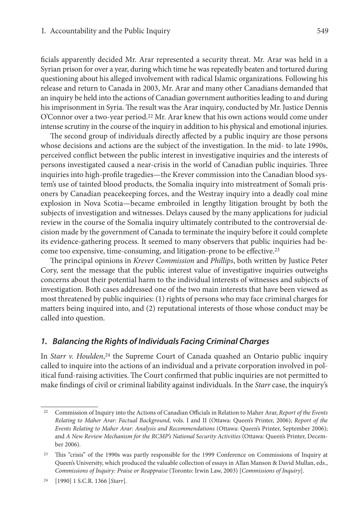<span id="page-8-0"></span>ficials apparently decided Mr. Arar represented a security threat. Mr. Arar was held in a Syrian prison for over a year, during which time he was repeatedly beaten and tortured during questioning about his alleged involvement with radical Islamic organizations. Following his release and return to Canada in 2003, Mr. Arar and many other Canadians demanded that an inquiry be held into the actions of Canadian government authorities leading to and during his imprisonment in Syria. The result was the Arar inquiry, conducted by Mr. Justice Dennis O'Connor over a two-year period.22 Mr. Arar knew that his own actions would come under intense scrutiny in the course of the inquiry in addition to his physical and emotional injuries.

The second group of individuals directly affected by a public inquiry are those persons whose decisions and actions are the subject of the investigation. In the mid- to late 1990s, perceived conflict between the public interest in investigative inquiries and the interests of persons investigated caused a near-crisis in the world of Canadian public inquiries. Three inquiries into high-profile tragedies—the Krever commission into the Canadian blood system's use of tainted blood products, the Somalia inquiry into mistreatment of Somali prisoners by Canadian peacekeeping forces, and the Westray inquiry into a deadly coal mine explosion in Nova Scotia—became embroiled in lengthy litigation brought by both the subjects of investigation and witnesses. Delays caused by the many applications for judicial review in the course of the Somalia inquiry ultimately contributed to the controversial decision made by the government of Canada to terminate the inquiry before it could complete its evidence-gathering process. It seemed to many observers that public inquiries had become too expensive, time-consuming, and litigation-prone to be effective.23

The principal opinions in *Krever Commission* and *Phillips*, both written by Justice Peter Cory, sent the message that the public interest value of investigative inquiries outweighs concerns about their potential harm to the individual interests of witnesses and subjects of investigation. Both cases addressed one of the two main interests that have been viewed as most threatened by public inquiries: (1) rights of persons who may face criminal charges for matters being inquired into, and (2) reputational interests of those whose conduct may be called into question.

## *1. Balancing the Rights of Individuals Facing Criminal Charges*

In *Starr v. Houlden*, <sup>24</sup> the Supreme Court of Canada quashed an Ontario public inquiry called to inquire into the actions of an individual and a private corporation involved in political fund-raising activities. The Court confirmed that public inquiries are not permitted to make findings of civil or criminal liability against individuals. In the *Starr* case, the inquiry's

<sup>&</sup>lt;sup>22</sup> Commission of Inquiry into the Actions of Canadian Officials in Relation to Maher Arar, *Report of the Events Relating to Maher Arar: Factual Background*, vols. I and II (Ottawa: Queen's Printer, 2006); *Report of the Events Relating to Maher Arar: Analysis and Recommendations* (Ottawa: Queen's Printer, September 2006); and *A New Review Mechanism for the RCMP's National Security Activities* (Ottawa: Queen's Printer, December 2006).

<sup>&</sup>lt;sup>23</sup> This "crisis" of the 1990s was partly responsible for the 1999 Conference on Commissions of Inquiry at Queen's University, which produced the valuable collection of essays in Allan Manson & David Mullan, eds., *Commissions of Inquiry: Praise or Reappraise* (Toronto: Irwin Law, 2003) [*Commissions of Inquiry*].

<sup>24 [1990]</sup> 1 S.C.R. 1366 [*Starr*].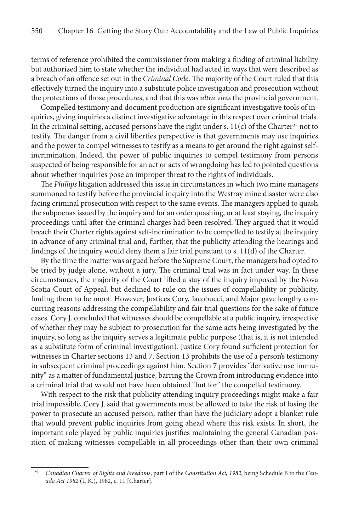terms of reference prohibited the commissioner from making a finding of criminal liability but authorized him to state whether the individual had acted in ways that were described as a breach of an offence set out in the *Criminal Code*. The majority of the Court ruled that this effectively turned the inquiry into a substitute police investigation and prosecution without the protections of those procedures, and that this was *ultra vires* the provincial government.

Compelled testimony and document production are significant investigative tools of inquiries, giving inquiries a distinct investigative advantage in this respect over criminal trials. In the criminal setting, accused persons have the right under s.  $11(c)$  of the Charter<sup>25</sup> not to testify. The danger from a civil liberties perspective is that governments may use inquiries and the power to compel witnesses to testify as a means to get around the right against selfincrimination. Indeed, the power of public inquiries to compel testimony from persons suspected of being responsible for an act or acts of wrongdoing has led to pointed questions about whether inquiries pose an improper threat to the rights of individuals.

The *Phillips* litigation addressed this issue in circumstances in which two mine managers summoned to testify before the provincial inquiry into the Westray mine disaster were also facing criminal prosecution with respect to the same events. The managers applied to quash the subpoenas issued by the inquiry and for an order quashing, or at least staying, the inquiry proceedings until after the criminal charges had been resolved. They argued that it would breach their Charter rights against self-incrimination to be compelled to testify at the inquiry in advance of any criminal trial and, further, that the publicity attending the hearings and findings of the inquiry would deny them a fair trial pursuant to s. 11(d) of the Charter.

By the time the matter was argued before the Supreme Court, the managers had opted to be tried by judge alone, without a jury. The criminal trial was in fact under way. In these circumstances, the majority of the Court lifted a stay of the inquiry imposed by the Nova Scotia Court of Appeal, but declined to rule on the issues of compellability or publicity, finding them to be moot. However, Justices Cory, Iacobucci, and Major gave lengthy concurring reasons addressing the compellability and fair trial questions for the sake of future cases. Cory J. concluded that witnesses should be compellable at a public inquiry, irrespective of whether they may be subject to prosecution for the same acts being investigated by the inquiry, so long as the inquiry serves a legitimate public purpose (that is, it is not intended as a substitute form of criminal investigation). Justice Cory found sufficient protection for witnesses in Charter sections 13 and 7. Section 13 prohibits the use of a person's testimony in subsequent criminal proceedings against him. Section 7 provides "derivative use immunity" as a matter of fundamental justice, barring the Crown from introducing evidence into a criminal trial that would not have been obtained "but for" the compelled testimony.

With respect to the risk that publicity attending inquiry proceedings might make a fair trial impossible, Cory J. said that governments must be allowed to take the risk of losing the power to prosecute an accused person, rather than have the judiciary adopt a blanket rule that would prevent public inquiries from going ahead where this risk exists. In short, the important role played by public inquiries justifies maintaining the general Canadian position of making witnesses compellable in all proceedings other than their own criminal

<sup>25</sup> *Canadian Charter of Rights and Freedoms*, part I of the *Constitution Act, 1982*, being Schedule B to the *Canada Act 1982* (U.K.), 1982, c. 11 [Charter].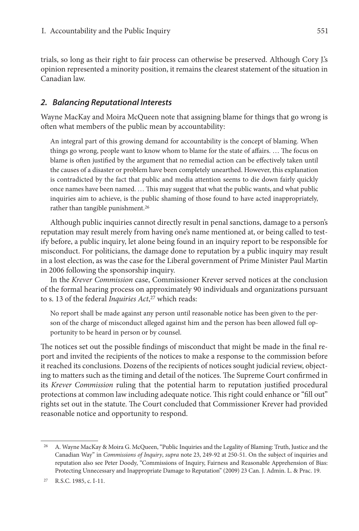<span id="page-10-0"></span>trials, so long as their right to fair process can otherwise be preserved. Although Cory J.'s opinion represented a minority position, it remains the clearest statement of the situation in Canadian law.

## *2. Balancing Reputational Interests*

Wayne MacKay and Moira McQueen note that assigning blame for things that go wrong is often what members of the public mean by accountability:

An integral part of this growing demand for accountability is the concept of blaming. When things go wrong, people want to know whom to blame for the state of affairs. … The focus on blame is often justified by the argument that no remedial action can be effectively taken until the causes of a disaster or problem have been completely unearthed. However, this explanation is contradicted by the fact that public and media attention seems to die down fairly quickly once names have been named. … This may suggest that what the public wants, and what public inquiries aim to achieve, is the public shaming of those found to have acted inappropriately, rather than tangible punishment.26

Although public inquiries cannot directly result in penal sanctions, damage to a person's reputation may result merely from having one's name mentioned at, or being called to testify before, a public inquiry, let alone being found in an inquiry report to be responsible for misconduct. For politicians, the damage done to reputation by a public inquiry may result in a lost election, as was the case for the Liberal government of Prime Minister Paul Martin in 2006 following the sponsorship inquiry.

In the *Krever Commission* case, Commissioner Krever served notices at the conclusion of the formal hearing process on approximately 90 individuals and organizations pursuant to s. 13 of the federal *Inquiries Act*, <sup>27</sup> which reads:

No report shall be made against any person until reasonable notice has been given to the person of the charge of misconduct alleged against him and the person has been allowed full opportunity to be heard in person or by counsel.

The notices set out the possible findings of misconduct that might be made in the final report and invited the recipients of the notices to make a response to the commission before it reached its conclusions. Dozens of the recipients of notices sought judicial review, objecting to matters such as the timing and detail of the notices. The Supreme Court confirmed in its *Krever Commission* ruling that the potential harm to reputation justified procedural protections at common law including adequate notice. This right could enhance or "fill out" rights set out in the statute. The Court concluded that Commissioner Krever had provided reasonable notice and opportunity to respond.

A. Wayne MacKay & Moira G. McQueen, "Public Inquiries and the Legality of Blaming: Truth, Justice and the Canadian Way" in *Commissions of Inquiry*, *supra* note 23, 249-92 at 250-51. On the subject of inquiries and reputation also see Peter Doody, "Commissions of Inquiry, Fairness and Reasonable Apprehension of Bias: Protecting Unnecessary and Inappropriate Damage to Reputation" (2009) 23 Can. J. Admin. L. & Prac. 19.

<sup>27</sup> R.S.C. 1985, c. I-11.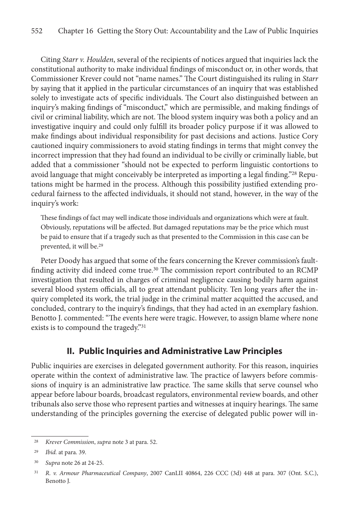<span id="page-11-0"></span>Citing *Starr v. Houlden*, several of the recipients of notices argued that inquiries lack the constitutional authority to make individual findings of misconduct or, in other words, that Commissioner Krever could not "name names." The Court distinguished its ruling in *Starr* by saying that it applied in the particular circumstances of an inquiry that was established solely to investigate acts of specific individuals. The Court also distinguished between an inquiry's making findings of "misconduct," which are permissible, and making findings of civil or criminal liability, which are not. The blood system inquiry was both a policy and an investigative inquiry and could only fulfill its broader policy purpose if it was allowed to make findings about individual responsibility for past decisions and actions. Justice Cory cautioned inquiry commissioners to avoid stating findings in terms that might convey the incorrect impression that they had found an individual to be civilly or criminally liable, but added that a commissioner "should not be expected to perform linguistic contortions to avoid language that might conceivably be interpreted as importing a legal finding."<sup>28</sup> Reputations might be harmed in the process. Although this possibility justified extending procedural fairness to the affected individuals, it should not stand, however, in the way of the inquiry's work:

These findings of fact may well indicate those individuals and organizations which were at fault. Obviously, reputations will be affected. But damaged reputations may be the price which must be paid to ensure that if a tragedy such as that presented to the Commission in this case can be prevented, it will be.29

Peter Doody has argued that some of the fears concerning the Krever commission's faultfinding activity did indeed come true.30 The commission report contributed to an RCMP investigation that resulted in charges of criminal negligence causing bodily harm against several blood system officials, all to great attendant publicity. Ten long years after the inquiry completed its work, the trial judge in the criminal matter acquitted the accused, and concluded, contrary to the inquiry's findings, that they had acted in an exemplary fashion. Benotto J. commented: "The events here were tragic. However, to assign blame where none exists is to compound the tragedy."31

# **II. Public Inquiries and Administrative Law Principles**

Public inquiries are exercises in delegated government authority. For this reason, inquiries operate within the context of administrative law. The practice of lawyers before commissions of inquiry is an administrative law practice. The same skills that serve counsel who appear before labour boards, broadcast regulators, environmental review boards, and other tribunals also serve those who represent parties and witnesses at inquiry hearings. The same understanding of the principles governing the exercise of delegated public power will in-

<sup>28</sup> *Krever Commission*, *supra* note 3 at para. 52.

<sup>29</sup> *Ibid.* at para. 39.

<sup>30</sup> *Supra* note 26 at 24-25.

<sup>31</sup> *R. v. Armour Pharmaceutical Company*, 2007 CanLII 40864, 226 CCC (3d) 448 at para. 307 (Ont. S.C.), Benotto J.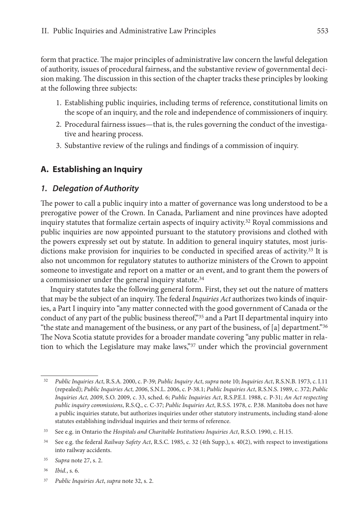<span id="page-12-0"></span>form that practice. The major principles of administrative law concern the lawful delegation of authority, issues of procedural fairness, and the substantive review of governmental decision making. The discussion in this section of the chapter tracks these principles by looking at the following three subjects:

- 1. Establishing public inquiries, including terms of reference, constitutional limits on the scope of an inquiry, and the role and independence of commissioners of inquiry.
- 2. Procedural fairness issues—that is, the rules governing the conduct of the investigative and hearing process.
- 3. Substantive review of the rulings and findings of a commission of inquiry.

## **A. Establishing an Inquiry**

#### *1. Delegation of Authority*

The power to call a public inquiry into a matter of governance was long understood to be a prerogative power of the Crown. In Canada, Parliament and nine provinces have adopted inquiry statutes that formalize certain aspects of inquiry activity.<sup>32</sup> Royal commissions and public inquiries are now appointed pursuant to the statutory provisions and clothed with the powers expressly set out by statute. In addition to general inquiry statutes, most jurisdictions make provision for inquiries to be conducted in specified areas of activity.<sup>33</sup> It is also not uncommon for regulatory statutes to authorize ministers of the Crown to appoint someone to investigate and report on a matter or an event, and to grant them the powers of a commissioner under the general inquiry statute.<sup>34</sup>

Inquiry statutes take the following general form. First, they set out the nature of matters that may be the subject of an inquiry. The federal *Inquiries Act* authorizestwo kinds of inquiries, a Part I inquiry into "any matter connected with the good government of Canada or the conduct of any part of the public business thereof,"35 and a Part II departmental inquiry into "the state and management of the business, or any part of the business, of [a] department."36 The Nova Scotia statute provides for a broader mandate covering "any public matter in relation to which the Legislature may make laws,"37 under which the provincial government

<sup>36</sup> *Ibid.*, s. 6.

<sup>32</sup> *Public Inquiries Act*, R.S.A. 2000, c. P-39; *Public Inquiry Act*, *supra* note 10; *Inquiries Act*, R.S.N.B. 1973, c. I.11 (repealed); *Public Inquiries Act, 2006*, S.N.L. 2006, c. P-38.1; *Public Inquiries Act*, R.S.N.S. 1989, c. 372; *Public Inquiries Act, 2009*, S.O. 2009, c. 33, sched. 6; *Public Inquiries Act*, R.S.P.E.I. 1988, c. P-31; *An Act respecting public inquiry commissions*, R.S.Q., c. C-37; *Public Inquiries Act*, R.S.S. 1978, c. P.38. Manitoba does not have a public inquiries statute, but authorizes inquiries under other statutory instruments, including stand-alone statutes establishing individual inquiries and their terms of reference.

<sup>33</sup> See e.g. in Ontario the *Hospitals and Charitable Institutions Inquiries Act*, R.S.O. 1990, c. H.15.

<sup>34</sup> See e.g. the federal *Railway Safety Act*, R.S.C. 1985, c. 32 (4th Supp.), s. 40(2), with respect to investigations into railway accidents.

<sup>35</sup> *Supra* note 27, s. 2.

<sup>37</sup> *Public Inquiries Act*, *supra* note 32, s. 2.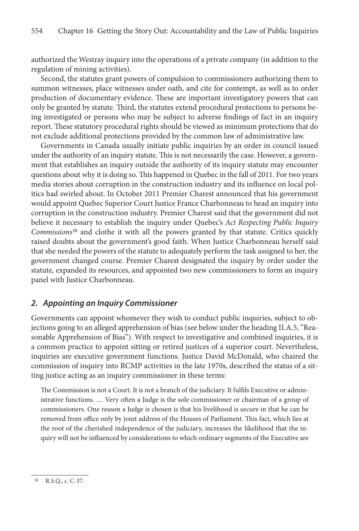<span id="page-13-0"></span>authorized the Westray inquiry into the operations of a private company (in addition to the regulation of mining activities).

Second, the statutes grant powers of compulsion to commissioners authorizing them to summon witnesses, place witnesses under oath, and cite for contempt, as well as to order production of documentary evidence. These are important investigatory powers that can only be granted by statute. Third, the statutes extend procedural protections to persons being investigated or persons who may be subject to adverse findings of fact in an inquiry report. These statutory procedural rights should be viewed as minimum protections that do not exclude additional protections provided by the common law of administrative law.

Governments in Canada usually initiate public inquiries by an order in council issued under the authority of an inquiry statute. This is not necessarily the case. However, a government that establishes an inquiry outside the authority of its inquiry statute may encounter questions about why it is doing so. This happened in Quebec in the fall of 2011. For two years media stories about corruption in the construction industry and its influence on local politics had swirled about. In October 2011 Premier Charest announced that his government would appoint Quebec Superior Court Justice France Charbonneau to head an inquiry into corruption in the construction industry. Premier Charest said that the government did not believe it necessary to establish the inquiry under Quebec's *Act Respecting Public Inquiry Commissions*<sup>38</sup> and clothe it with all the powers granted by that statute. Critics quickly raised doubts about the government's good faith. When Justice Charbonneau herself said that she needed the powers of the statute to adequately perform the task assigned to her, the government changed course. Premier Charest designated the inquiry by order under the statute, expanded its resources, and appointed two new commissioners to form an inquiry panel with Justice Charbonneau.

# *2. Appointing an Inquiry Commissioner*

Governments can appoint whomever they wish to conduct public inquiries, subject to objections going to an alleged apprehension of bias (see below under the heading II.A.5,"Reasonable Apprehension of Bias"). With respect to investigative and combined inquiries, it is a common practice to appoint sitting or retired justices of a superior court. Nevertheless, inquiries are executive government functions. Justice David McDonald, who chaired the commission of inquiry into RCMP activities in the late 1970s, described the status of a sitting justice acting as an inquiry commissioner in these terms:

The Commission is not a Court. It is not a branch of the judiciary. It fulfils Executive or administrative functions. … Very often a Judge is the sole commissioner or chairman of a group of commissioners. One reason a Judge is chosen is that his livelihood is secure in that he can be removed from office only by joint address of the Houses of Parliament. This fact, which lies at the root of the cherished independence of the judiciary, increases the likelihood that the inquiry will not be influenced by considerations to which ordinary segments of the Executive are

R.S.Q., c. C-37.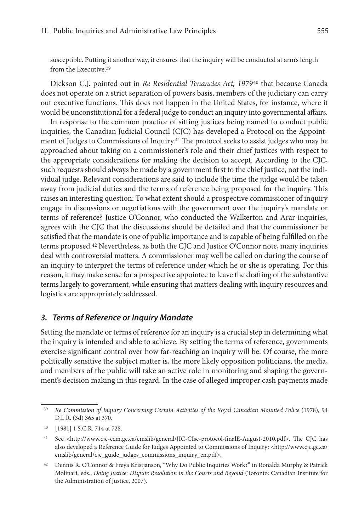<span id="page-14-0"></span>susceptible. Putting it another way, it ensures that the inquiry will be conducted at arm's length from the Executive.39

Dickson C.J. pointed out in *Re Residential Tenancies Act, 1979*<sup>40</sup> that because Canada does not operate on a strict separation of powers basis, members of the judiciary can carry out executive functions. This does not happen in the United States, for instance, where it would be unconstitutional for a federal judge to conduct an inquiry into governmental affairs.

In response to the common practice of sitting justices being named to conduct public inquiries, the Canadian Judicial Council (CJC) has developed a Protocol on the Appointment of Judges to Commissions of Inquiry.41 The protocol seeks to assist judges who may be approached about taking on a commissioner's role and their chief justices with respect to the appropriate considerations for making the decision to accept. According to the CJC, such requests should always be made by a government first to the chief justice, not the individual judge. Relevant considerations are said to include the time the judge would be taken away from judicial duties and the terms of reference being proposed for the inquiry. This raises an interesting question: To what extent should a prospective commissioner of inquiry engage in discussions or negotiations with the government over the inquiry's mandate or terms of reference? Justice O'Connor, who conducted the Walkerton and Arar inquiries, agrees with the CJC that the discussions should be detailed and that the commissioner be satisfied that the mandate is one of public importance and is capable of being fulfilled on the terms proposed.42 Nevertheless, as both the CJC and Justice O'Connor note, many inquiries deal with controversial matters. A commissioner may well be called on during the course of an inquiry to interpret the terms of reference under which he or she is operating. For this reason, it may make sense for a prospective appointee to leave the drafting of the substantive terms largely to government, while ensuring that matters dealing with inquiry resources and logistics are appropriately addressed.

#### *3. Terms of Reference or Inquiry Mandate*

Setting the mandate or terms of reference for an inquiry is a crucial step in determining what the inquiry is intended and able to achieve. By setting the terms of reference, governments exercise significant control over how far-reaching an inquiry will be. Of course, the more politically sensitive the subject matter is, the more likely opposition politicians, the media, and members of the public will take an active role in monitoring and shaping the government's decision making in this regard. In the case of alleged improper cash payments made

<sup>39</sup> *Re Commission of Inquiry Concerning Certain Activities of the Royal Canadian Mounted Police* (1978), 94 D.L.R. (3d) 365 at 370.

<sup>40 [1981]</sup> 1 S.C.R. 714 at 728.

<sup>41</sup> See <[http://www.cjc-ccm.gc.ca/cmslib/general/JIC-CIsc-protocol-finalE-August-2010.pdf>](http://www.cjc-ccm.gc.ca/cmslib/general/JIC-CIsc-protocol-finalE-August-2010.pdf). The CJC has also developed a Reference Guide for Judges Appointed to Commissions of Inquiry: <[http://www.cjc.gc.ca/](http://www.cjc.gc.ca/cmslib/general/cjc_guide_judges_commissions_inquiry_en.pdf) [cmslib/general/cjc\\_guide\\_judges\\_commissions\\_inquiry\\_en.pdf>](http://www.cjc.gc.ca/cmslib/general/cjc_guide_judges_commissions_inquiry_en.pdf).

<sup>&</sup>lt;sup>42</sup> Dennis R. O'Connor & Freya Kristjanson, "Why Do Public Inquiries Work?" in Ronalda Murphy & Patrick Molinari, eds., *Doing Justice: Dispute Resolution in the Courts and Beyond* (Toronto: Canadian Institute for the Administration of Justice, 2007).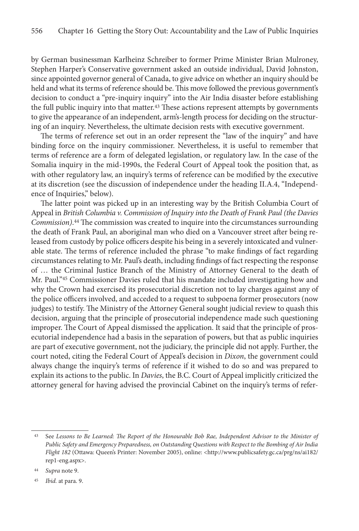by German businessman Karlheinz Schreiber to former Prime Minister Brian Mulroney, Stephen Harper's Conservative government asked an outside individual, David Johnston, since appointed governor general of Canada, to give advice on whether an inquiry should be held and what its terms of reference should be. This move followed the previous government's decision to conduct a "pre-inquiry inquiry" into the Air India disaster before establishing the full public inquiry into that matter.<sup>43</sup> These actions represent attempts by governments to give the appearance of an independent, arm's-length process for deciding on the structuring of an inquiry. Nevertheless, the ultimate decision rests with executive government.

The terms of reference set out in an order represent the "law of the inquiry" and have binding force on the inquiry commissioner. Nevertheless, it is useful to remember that terms of reference are a form of delegated legislation, or regulatory law. In the case of the Somalia inquiry in the mid-1990s, the Federal Court of Appeal took the position that, as with other regulatory law, an inquiry's terms of reference can be modified by the executive at its discretion (see the discussion of independence under the heading II.A.4, "Independence of Inquiries," below).

The latter point was picked up in an interesting way by the British Columbia Court of Appeal in *British Columbia v. Commission of Inquiry into the Death of Frank Paul (the Davies Commission)*. <sup>44</sup> The commission was created to inquire into the circumstances surrounding the death of Frank Paul, an aboriginal man who died on a Vancouver street after being released from custody by police officers despite his being in a severely intoxicated and vulnerable state. The terms of reference included the phrase "to make findings of fact regarding circumstances relating to Mr. Paul's death, including findings of fact respecting the response of … the Criminal Justice Branch of the Ministry of Attorney General to the death of Mr. Paul."45 Commissioner Davies ruled that his mandate included investigating how and why the Crown had exercised its prosecutorial discretion not to lay charges against any of the police officers involved, and acceded to a request to subpoena former prosecutors (now judges) to testify. The Ministry of the Attorney General sought judicial review to quash this decision, arguing that the principle of prosecutorial independence made such questioning improper. The Court of Appeal dismissed the application. It said that the principle of prosecutorial independence had a basis in the separation of powers, but that as public inquiries are part of executive government, not the judiciary, the principle did not apply. Further, the court noted, citing the Federal Court of Appeal's decision in *Dixon*, the government could always change the inquiry's terms of reference if it wished to do so and was prepared to explain its actions to the public. In *Davies*, the B.C. Court of Appeal implicitly criticized the attorney general for having advised the provincial Cabinet on the inquiry's terms of refer-

<sup>43</sup> See *Lessons to Be Learned: The Report of the Honourable Bob Rae, Independent Advisor to the Minister of Public Safety and Emergency Preparedness, on Outstanding Questions with Respect to the Bombing of Air India Flight 182* (Ottawa: Queen's Printer: November 2005), online: [<http://www.publicsafety.gc.ca/prg/ns/ai182/](http://www.publicsafety.gc.ca/prg/ns/ai182/rep1-eng.aspx) [rep1-eng.aspx>](http://www.publicsafety.gc.ca/prg/ns/ai182/rep1-eng.aspx).

<sup>44</sup> *Supra* note 9.

<sup>45</sup> *Ibid.* at para. 9.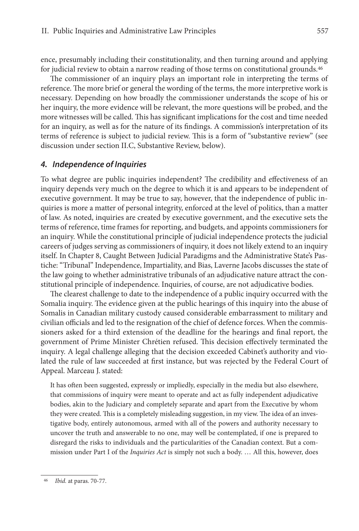<span id="page-16-0"></span>ence, presumably including their constitutionality, and then turning around and applying for judicial review to obtain a narrow reading of those terms on constitutional grounds.<sup>46</sup>

The commissioner of an inquiry plays an important role in interpreting the terms of reference. The more brief or general the wording of the terms, the more interpretive work is necessary. Depending on how broadly the commissioner understands the scope of his or her inquiry, the more evidence will be relevant, the more questions will be probed, and the more witnesses will be called. This has significant implications for the cost and time needed for an inquiry, as well as for the nature of its findings. A commission's interpretation of its terms of reference is subject to judicial review. This is a form of "substantive review" (see discussion under section II.C, Substantive Review, below).

#### *4. Independence of Inquiries*

To what degree are public inquiries independent? The credibility and effectiveness of an inquiry depends very much on the degree to which it is and appears to be independent of executive government. It may be true to say, however, that the independence of public inquiries is more a matter of personal integrity, enforced at the level of politics, than a matter of law. As noted, inquiries are created by executive government, and the executive sets the terms of reference, time frames for reporting, and budgets, and appoints commissioners for an inquiry. While the constitutional principle of judicial independence protects the judicial careers of judges serving as commissioners of inquiry, it does not likely extend to an inquiry itself. In Chapter 8, Caught Between Judicial Paradigms and the Administrative State's Pastiche: "Tribunal" Independence, Impartiality, and Bias, Laverne Jacobs discusses the state of the law going to whether administrative tribunals of an adjudicative nature attract the constitutional principle of independence. Inquiries, of course, are not adjudicative bodies.

The clearest challenge to date to the independence of a public inquiry occurred with the Somalia inquiry. The evidence given at the public hearings of this inquiry into the abuse of Somalis in Canadian military custody caused considerable embarrassment to military and civilian officials and led to the resignation of the chief of defence forces. When the commissioners asked for a third extension of the deadline for the hearings and final report, the government of Prime Minister Chrétien refused. This decision effectively terminated the inquiry. A legal challenge alleging that the decision exceeded Cabinet's authority and violated the rule of law succeeded at first instance, but was rejected by the Federal Court of Appeal. Marceau J. stated:

It has often been suggested, expressly or impliedly, especially in the media but also elsewhere, that commissions of inquiry were meant to operate and act as fully independent adjudicative bodies, akin to the Judiciary and completely separate and apart from the Executive by whom they were created. This is a completely misleading suggestion, in my view. The idea of an investigative body, entirely autonomous, armed with all of the powers and authority necessary to uncover the truth and answerable to no one, may well be contemplated, if one is prepared to disregard the risks to individuals and the particularities of the Canadian context. But a commission under Part I of the *Inquiries Act* is simply not such a body. … All this, however, does

*Ibid.* at paras. 70-77.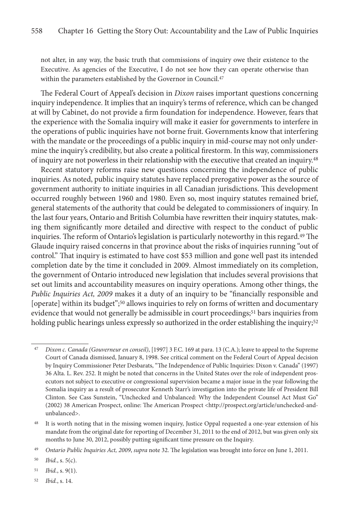not alter, in any way, the basic truth that commissions of inquiry owe their existence to the Executive. As agencies of the Executive, I do not see how they can operate otherwise than within the parameters established by the Governor in Council.47

The Federal Court of Appeal's decision in *Dixon* raises important questions concerning inquiry independence. It implies that an inquiry's terms of reference, which can be changed at will by Cabinet, do not provide a firm foundation for independence. However, fears that the experience with the Somalia inquiry will make it easier for governments to interfere in the operations of public inquiries have not borne fruit. Governments know that interfering with the mandate or the proceedings of a public inquiry in mid-course may not only undermine the inquiry's credibility, but also create a political firestorm. In this way, commissioners of inquiry are not powerless in their relationship with the executive that created an inquiry.48

Recent statutory reforms raise new questions concerning the independence of public inquiries. As noted, public inquiry statutes have replaced prerogative power as the source of government authority to initiate inquiries in all Canadian jurisdictions. This development occurred roughly between 1960 and 1980. Even so, most inquiry statutes remained brief, general statements of the authority that could be delegated to commissioners of inquiry. In the last four years, Ontario and British Columbia have rewritten their inquiry statutes, making them significantly more detailed and directive with respect to the conduct of public inquiries. The reform of Ontario's legislation is particularly noteworthy in this regard.<sup>49</sup> The Glaude inquiry raised concerns in that province about the risks of inquiries running "out of control." That inquiry is estimated to have cost \$53 million and gone well past its intended completion date by the time it concluded in 2009. Almost immediately on its completion, the government of Ontario introduced new legislation that includes several provisions that set out limits and accountability measures on inquiry operations. Among other things, the *Public Inquiries Act, 2009* makes it a duty of an inquiry to be "financially responsible and [operate] within its budget";50 allows inquiries to rely on forms of written and documentary evidence that would not generally be admissible in court proceedings;<sup>51</sup> bars inquiries from holding public hearings unless expressly so authorized in the order establishing the inquiry;<sup>52</sup>

<sup>47</sup> *Dixon c. Canada (Gouverneur en conseil)*, [1997] 3 F.C. 169 at para. 13 (C.A.); leave to appeal to the Supreme Court of Canada dismissed, January 8, 1998. See critical comment on the Federal Court of Appeal decision by Inquiry Commissioner Peter Desbarats, "The Independence of Public Inquiries: Dixon v. Canada" (1997) 36 Alta. L. Rev. 252. It might be noted that concerns in the United States over the role of independent prosecutors not subject to executive or congressional supervision became a major issue in the year following the Somalia inquiry as a result of prosecutor Kenneth Starr's investigation into the private life of President Bill Clinton. See Cass Sunstein, "Unchecked and Unbalanced: Why the Independent Counsel Act Must Go" (2002) 38 American Prospect, online: The American Prospect [<http://prospect.org/article/unchecked-and](http://prospect.org/article/unchecked-and-unbalanced)[unbalanced](http://prospect.org/article/unchecked-and-unbalanced)>.

<sup>&</sup>lt;sup>48</sup> It is worth noting that in the missing women inquiry, Justice Oppal requested a one-year extension of his mandate from the original date for reporting of December 31, 2011 to the end of 2012, but was given only six months to June 30, 2012, possibly putting significant time pressure on the Inquiry.

<sup>49</sup> *Ontario Public Inquiries Act, 2009*, *supra* note 32. The legislation was brought into force on June 1, 2011.

<sup>50</sup> *Ibid.*, s. 5(c).

<sup>51</sup> *Ibid.*, s. 9(1).

<sup>52</sup> *Ibid.*, s. 14.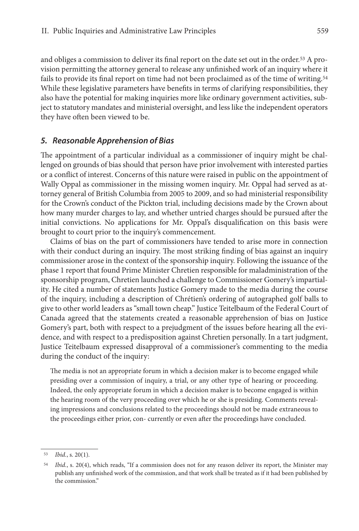<span id="page-18-0"></span>and obliges a commission to deliver its final report on the date set out in the order.<sup>53</sup> A provision permitting the attorney general to release any unfinished work of an inquiry where it fails to provide its final report on time had not been proclaimed as of the time of writing.<sup>54</sup> While these legislative parameters have benefits in terms of clarifying responsibilities, they also have the potential for making inquiries more like ordinary government activities, subject to statutory mandates and ministerial oversight, and less like the independent operators they have often been viewed to be.

#### *5. Reasonable Apprehension of Bias*

The appointment of a particular individual as a commissioner of inquiry might be challenged on grounds of bias should that person have prior involvement with interested parties or a conflict of interest. Concerns of this nature were raised in public on the appointment of Wally Oppal as commissioner in the missing women inquiry. Mr. Oppal had served as attorney general of British Columbia from 2005 to 2009, and so had ministerial responsibility for the Crown's conduct of the Pickton trial, including decisions made by the Crown about how many murder charges to lay, and whether untried charges should be pursued after the initial convictions. No applications for Mr. Oppal's disqualification on this basis were brought to court prior to the inquiry's commencement.

Claims of bias on the part of commissioners have tended to arise more in connection with their conduct during an inquiry. The most striking finding of bias against an inquiry commissioner arose in the context of the sponsorship inquiry. Following the issuance of the phase 1 report that found Prime Minister Chretien responsible for maladministration of the sponsorship program, Chretien launched a challenge to Commissioner Gomery's impartiality. He cited a number of statements Justice Gomery made to the media during the course of the inquiry, including a description of Chrétien's ordering of autographed golf balls to give to other world leaders as "small town cheap." Justice Teitelbaum of the Federal Court of Canada agreed that the statements created a reasonable apprehension of bias on Justice Gomery's part, both with respect to a prejudgment of the issues before hearing all the evidence, and with respect to a predisposition against Chretien personally. In a tart judgment, Justice Teitelbaum expressed disapproval of a commissioner's commenting to the media during the conduct of the inquiry:

The media is not an appropriate forum in which a decision maker is to become engaged while presiding over a commission of inquiry, a trial, or any other type of hearing or proceeding. Indeed, the only appropriate forum in which a decision maker is to become engaged is within the hearing room of the very proceeding over which he or she is presiding. Comments revealing impressions and conclusions related to the proceedings should not be made extraneous to the proceedings either prior, con- currently or even after the proceedings have concluded.

<sup>53</sup> *Ibid.*, s. 20(1).

<sup>54</sup> *Ibid.*, s. 20(4), which reads, "If a commission does not for any reason deliver its report, the Minister may publish any unfinished work of the commission, and that work shall be treated as if it had been published by the commission."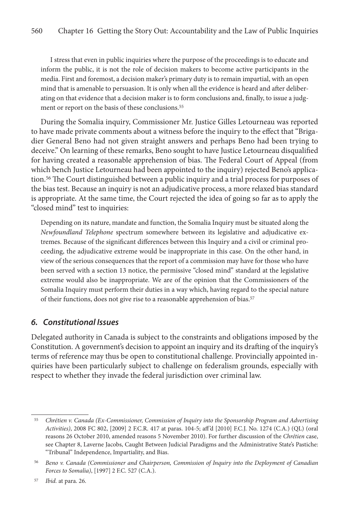<span id="page-19-0"></span>I stress that even in public inquiries where the purpose of the proceedings is to educate and inform the public, it is not the role of decision makers to become active participants in the media. First and foremost, a decision maker's primary duty is to remain impartial, with an open mind that is amenable to persuasion. It is only when all the evidence is heard and after deliberating on that evidence that a decision maker is to form conclusions and, finally, to issue a judgment or report on the basis of these conclusions.<sup>55</sup>

During the Somalia inquiry, Commissioner Mr. Justice Gilles Letourneau was reported to have made private comments about a witness before the inquiry to the effect that "Brigadier General Beno had not given straight answers and perhaps Beno had been trying to deceive." On learning of these remarks, Beno sought to have Justice Letourneau disqualified for having created a reasonable apprehension of bias. The Federal Court of Appeal (from which bench Justice Letourneau had been appointed to the inquiry) rejected Beno's application.56 The Court distinguished between a public inquiry and a trial process for purposes of the bias test. Because an inquiry is not an adjudicative process, a more relaxed bias standard is appropriate. At the same time, the Court rejected the idea of going so far as to apply the "closed mind" test to inquiries:

Depending on its nature, mandate and function, the Somalia Inquiry must be situated along the *Newfoundland Telephone* spectrum somewhere between its legislative and adjudicative extremes. Because of the significant differences between this Inquiry and a civil or criminal proceeding, the adjudicative extreme would be inappropriate in this case. On the other hand, in view of the serious consequences that the report of a commission may have for those who have been served with a section 13 notice, the permissive "closed mind" standard at the legislative extreme would also be inappropriate. We are of the opinion that the Commissioners of the Somalia Inquiry must perform their duties in a way which, having regard to the special nature of their functions, does not give rise to a reasonable apprehension of bias.<sup>57</sup>

## *6. Constitutional Issues*

Delegated authority in Canada is subject to the constraints and obligations imposed by the Constitution. A government's decision to appoint an inquiry and its drafting of the inquiry's terms of reference may thus be open to constitutional challenge. Provincially appointed inquiries have been particularly subject to challenge on federalism grounds, especially with respect to whether they invade the federal jurisdiction over criminal law.

<sup>55</sup> *Chrétien v. Canada (Ex-Commissioner, Commission of Inquiry into the Sponsorship Program and Advertising Activities)*, 2008 FC 802, [2009] 2 F.C.R. 417 at paras. 104-5; aff 'd [2010] F.C.J. No. 1274 (C.A.) (QL) (oral reasons 26 October 2010, amended reasons 5 November 2010). For further discussion of the *Chrétien* case, see Chapter 8, Laverne Jacobs, Caught Between Judicial Paradigms and the Administrative State's Pastiche: "Tribunal" Independence, Impartiality, and Bias.

<sup>56</sup> *Beno v. Canada (Commissioner and Chairperson, Commission of Inquiry into the Deployment of Canadian Forces to Somalia)*, [1997] 2 F.C. 527 (C.A.).

<sup>57</sup> *Ibid.* at para. 26.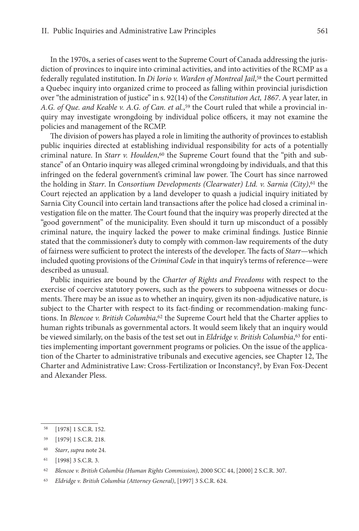In the 1970s, a series of cases went to the Supreme Court of Canada addressing the jurisdiction of provinces to inquire into criminal activities, and into activities of the RCMP as a federally regulated institution. In *Di Iorio v. Warden of Montreal Jail*, <sup>58</sup> the Court permitted a Quebec inquiry into organized crime to proceed as falling within provincial jurisdiction over "the administration of justice" in s. 92(14) of the *Constitution Act, 1867*. A year later, in *A.G. of Que. and Keable v. A.G. of Can. et al.*, <sup>59</sup> the Court ruled that while a provincial inquiry may investigate wrongdoing by individual police officers, it may not examine the policies and management of the RCMP.

The division of powers has played a role in limiting the authority of provinces to establish public inquiries directed at establishing individual responsibility for acts of a potentially criminal nature. In *Starr v. Houlden*, <sup>60</sup> the Supreme Court found that the "pith and substance" of an Ontario inquiry was alleged criminal wrongdoing by individuals, and that this infringed on the federal government's criminal law power. The Court has since narrowed the holding in *Starr*. In *Consortium Developments (Clearwater) Ltd. v. Sarnia (City)*, <sup>61</sup> the Court rejected an application by a land developer to quash a judicial inquiry initiated by Sarnia City Council into certain land transactions after the police had closed a criminal investigation file on the matter. The Court found that the inquiry was properly directed at the "good government" of the municipality. Even should it turn up misconduct of a possibly criminal nature, the inquiry lacked the power to make criminal findings. Justice Binnie stated that the commissioner's duty to comply with common-law requirements of the duty of fairness were sufficient to protect the interests of the developer. The facts of *Starr*—which included quoting provisions of the *Criminal Code* in that inquiry's terms of reference—were described as unusual.

Public inquiries are bound by the *Charter of Rights and Freedoms* with respect to the exercise of coercive statutory powers, such as the powers to subpoena witnesses or documents. There may be an issue as to whether an inquiry, given its non-adjudicative nature, is subject to the Charter with respect to its fact-finding or recommendation-making functions. In *Blencoe v. British Columbia*, <sup>62</sup> the Supreme Court held that the Charter applies to human rights tribunals as governmental actors. It would seem likely that an inquiry would be viewed similarly, on the basis of the test set out in *Eldridge v. British Columbia*, <sup>63</sup> for entities implementing important government programs or policies. On the issue of the application of the Charter to administrative tribunals and executive agencies, see Chapter 12, The Charter and Administrative Law: Cross-Fertilization or Inconstancy?, by Evan Fox-Decent and Alexander Pless.

<sup>58 [1978]</sup> 1 S.C.R. 152.

<sup>59 [1979]</sup> 1 S.C.R. 218.

<sup>60</sup> *Starr*, *supra* note 24.

<sup>61 [1998]</sup> 3 S.C.R. 3.

<sup>62</sup> *Blencoe v. British Columbia (Human Rights Commission)*, 2000 SCC 44, [2000] 2 S.C.R. 307.

<sup>63</sup> *Eldridge v. British Columbia (Attorney General)*, [1997] 3 S.C.R. 624.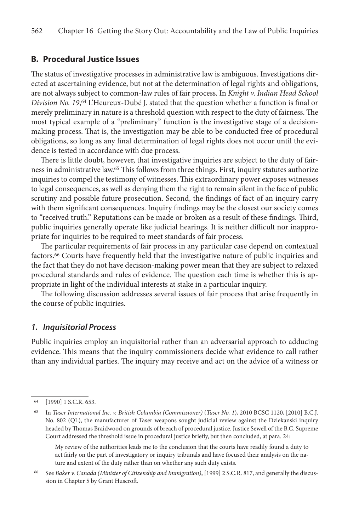## <span id="page-21-0"></span>**B. Procedural Justice Issues**

The status of investigative processes in administrative law is ambiguous. Investigations directed at ascertaining evidence, but not at the determination of legal rights and obligations, are not always subject to common-law rules of fair process. In *Knight v. Indian Head School Division No. 19*, <sup>64</sup> L'Heureux-Dubé J. stated that the question whether a function is final or merely preliminary in nature is a threshold question with respect to the duty of fairness. The most typical example of a "preliminary" function is the investigative stage of a decisionmaking process. That is, the investigation may be able to be conducted free of procedural obligations, so long as any final determination of legal rights does not occur until the evidence is tested in accordance with due process.

There is little doubt, however, that investigative inquiries are subject to the duty of fairness in administrative law.65 This follows from three things. First, inquiry statutes authorize inquiries to compel the testimony of witnesses. This extraordinary power exposes witnesses to legal consequences, as well as denying them the right to remain silent in the face of public scrutiny and possible future prosecution. Second, the findings of fact of an inquiry carry with them significant consequences. Inquiry findings may be the closest our society comes to "received truth." Reputations can be made or broken as a result of these findings. Third, public inquiries generally operate like judicial hearings. It is neither difficult nor inappropriate for inquiries to be required to meet standards of fair process.

The particular requirements of fair process in any particular case depend on contextual factors.66 Courts have frequently held that the investigative nature of public inquiries and the fact that they do not have decision-making power mean that they are subject to relaxed procedural standards and rules of evidence. The question each time is whether this is appropriate in light of the individual interests at stake in a particular inquiry.

The following discussion addresses several issues of fair process that arise frequently in the course of public inquiries.

#### *1. Inquisitorial Process*

Public inquiries employ an inquisitorial rather than an adversarial approach to adducing evidence. This means that the inquiry commissioners decide what evidence to call rather than any individual parties. The inquiry may receive and act on the advice of a witness or

My review of the authorities leads me to the conclusion that the courts have readily found a duty to act fairly on the part of investigatory or inquiry tribunals and have focused their analysis on the nature and extent of the duty rather than on whether any such duty exists.

<sup>64 [1990]</sup> 1 S.C.R. 653.

<sup>65</sup> In *Taser International Inc. v. British Columbia (Commissioner)* (*Taser No. 1*), 2010 BCSC 1120, [2010] B.C.J. No. 802 (QL), the manufacturer of Taser weapons sought judicial review against the Dziekanski inquiry headed by Thomas Braidwood on grounds of breach of procedural justice. Justice Sewell of the B.C. Supreme Court addressed the threshold issue in procedural justice briefly, but then concluded, at para. 24:

See *Baker v. Canada (Minister of Citizenship and Immigration)*, [1999] 2 S.C.R. 817, and generally the discussion in Chapter 5 by Grant Huscroft.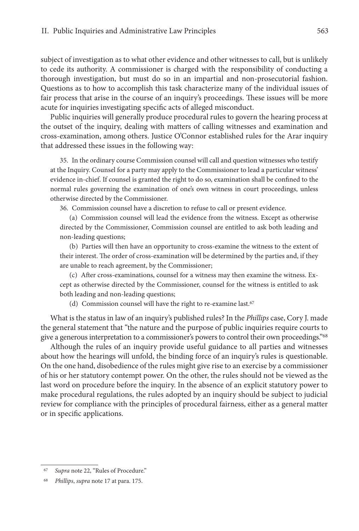subject of investigation as to what other evidence and other witnesses to call, but is unlikely to cede its authority. A commissioner is charged with the responsibility of conducting a thorough investigation, but must do so in an impartial and non-prosecutorial fashion. Questions as to how to accomplish this task characterize many of the individual issues of fair process that arise in the course of an inquiry's proceedings. These issues will be more acute for inquiries investigating specific acts of alleged misconduct.

Public inquiries will generally produce procedural rules to govern the hearing process at the outset of the inquiry, dealing with matters of calling witnesses and examination and cross-examination, among others. Justice O'Connor established rules for the Arar inquiry that addressed these issues in the following way:

35. In the ordinary course Commission counsel will call and question witnesses who testify at the Inquiry. Counsel for a party may apply to the Commissioner to lead a particular witness' evidence in-chief. If counsel is granted the right to do so, examination shall be confined to the normal rules governing the examination of one's own witness in court proceedings, unless otherwise directed by the Commissioner.

36. Commission counsel have a discretion to refuse to call or present evidence.

(a) Commission counsel will lead the evidence from the witness. Except as otherwise directed by the Commissioner, Commission counsel are entitled to ask both leading and non-leading questions;

(b) Parties will then have an opportunity to cross-examine the witness to the extent of their interest. The order of cross-examination will be determined by the parties and, if they are unable to reach agreement, by the Commissioner;

(c) After cross-examinations, counsel for a witness may then examine the witness. Except as otherwise directed by the Commissioner, counsel for the witness is entitled to ask both leading and non-leading questions;

(d) Commission counsel will have the right to re-examine last.67

What is the status in law of an inquiry's published rules? In the *Phillips* case, Cory J. made the general statement that "the nature and the purpose of public inquiries require courts to give a generous interpretation to a commissioner's powers to control their own proceedings."<sup>68</sup>

Although the rules of an inquiry provide useful guidance to all parties and witnesses about how the hearings will unfold, the binding force of an inquiry's rules is questionable. On the one hand, disobedience of the rules might give rise to an exercise by a commissioner of his or her statutory contempt power. On the other, the rules should not be viewed as the last word on procedure before the inquiry. In the absence of an explicit statutory power to make procedural regulations, the rules adopted by an inquiry should be subject to judicial review for compliance with the principles of procedural fairness, either as a general matter or in specific applications.

<sup>67</sup> *Supra* note 22, "Rules of Procedure."

<sup>68</sup> *Phillips*, *supra* note 17 at para. 175.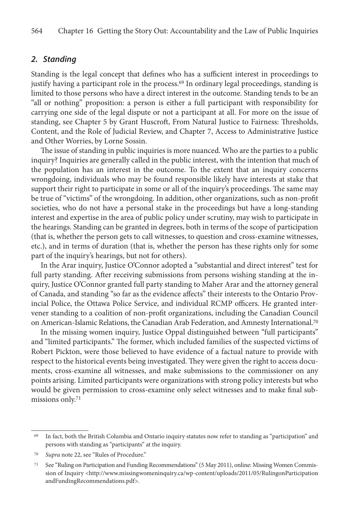#### <span id="page-23-0"></span>*2. Standing*

Standing is the legal concept that defines who has a sufficient interest in proceedings to justify having a participant role in the process.<sup>69</sup> In ordinary legal proceedings, standing is limited to those persons who have a direct interest in the outcome. Standing tends to be an "all or nothing" proposition: a person is either a full participant with responsibility for carrying one side of the legal dispute or not a participant at all. For more on the issue of standing, see Chapter 5 by Grant Huscroft, From Natural Justice to Fairness: Thresholds, Content, and the Role of Judicial Review, and Chapter 7, Access to Administrative Justice and Other Worries, by Lorne Sossin.

The issue of standing in public inquiries is more nuanced. Who are the parties to a public inquiry? Inquiries are generally called in the public interest, with the intention that much of the population has an interest in the outcome. To the extent that an inquiry concerns wrongdoing, individuals who may be found responsible likely have interests at stake that support their right to participate in some or all of the inquiry's proceedings. The same may be true of "victims" of the wrongdoing. In addition, other organizations, such as non-profit societies, who do not have a personal stake in the proceedings but have a long-standing interest and expertise in the area of public policy under scrutiny, may wish to participate in the hearings. Standing can be granted in degrees, both in terms of the scope of participation (that is, whether the person gets to call witnesses, to question and cross-examine witnesses, etc.), and in terms of duration (that is, whether the person has these rights only for some part of the inquiry's hearings, but not for others).

In the Arar inquiry, Justice O'Connor adopted a "substantial and direct interest" test for full party standing. After receiving submissions from persons wishing standing at the inquiry, Justice O'Connor granted full party standing to Maher Arar and the attorney general of Canada, and standing "so far as the evidence affects" their interests to the Ontario Provincial Police, the Ottawa Police Service, and individual RCMP officers. He granted intervener standing to a coalition of non-profit organizations, including the Canadian Council on American-Islamic Relations, the Canadian Arab Federation, and Amnesty International.70

In the missing women inquiry, Justice Oppal distinguished between "full participants" and "limited participants." The former, which included families of the suspected victims of Robert Pickton, were those believed to have evidence of a factual nature to provide with respect to the historical events being investigated. They were given the right to access documents, cross-examine all witnesses, and make submissions to the commissioner on any points arising. Limited participants were organizations with strong policy interests but who would be given permission to cross-examine only select witnesses and to make final submissions only.71

In fact, both the British Columbia and Ontario inquiry statutes now refer to standing as "participation" and persons with standing as "participants" at the inquiry.

<sup>70</sup> *Supra* note 22, see "Rules of Procedure."

<sup>&</sup>lt;sup>71</sup> See "Ruling on Participation and Funding Recommendations" (5 May 2011), online: Missing Women Commission of Inquiry [<http://www.missingwomeninquiry.ca/wp-content/uploads/2011/05/RulingonParticipation](http://www.missingwomeninquiry.ca/wp-content/uploads/2011/05/RulingonParticipationandFundingRecommendations.pdf) [andFundingRecommendations.pdf>](http://www.missingwomeninquiry.ca/wp-content/uploads/2011/05/RulingonParticipationandFundingRecommendations.pdf).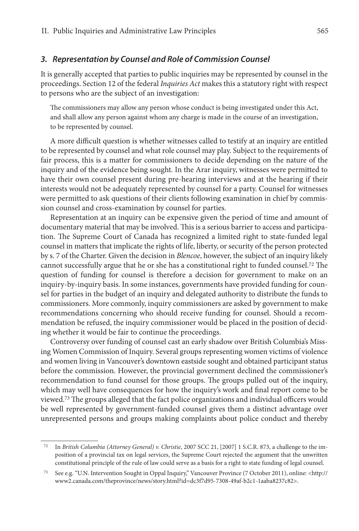## <span id="page-24-0"></span>*3. Representation by Counsel and Role of Commission Counsel*

It is generally accepted that parties to public inquiries may be represented by counsel in the proceedings. Section 12 of the federal *Inquiries Act* makes this a statutory right with respect to persons who are the subject of an investigation:

The commissioners may allow any person whose conduct is being investigated under this Act, and shall allow any person against whom any charge is made in the course of an investigation, to be represented by counsel.

A more difficult question is whether witnesses called to testify at an inquiry are entitled to be represented by counsel and what role counsel may play. Subject to the requirements of fair process, this is a matter for commissioners to decide depending on the nature of the inquiry and of the evidence being sought. In the Arar inquiry, witnesses were permitted to have their own counsel present during pre-hearing interviews and at the hearing if their interests would not be adequately represented by counsel for a party. Counsel for witnesses were permitted to ask questions of their clients following examination in chief by commission counsel and cross-examination by counsel for parties.

Representation at an inquiry can be expensive given the period of time and amount of documentary material that may be involved. This is a serious barrier to access and participation. The Supreme Court of Canada has recognized a limited right to state-funded legal counsel in matters that implicate the rights of life, liberty, or security of the person protected by s. 7 of the Charter. Given the decision in *Blencoe*, however, the subject of an inquiry likely cannot successfully argue that he or she has a constitutional right to funded counsel.72 The question of funding for counsel is therefore a decision for government to make on an inquiry-by-inquiry basis. In some instances, governments have provided funding for counsel for parties in the budget of an inquiry and delegated authority to distribute the funds to commissioners. More commonly, inquiry commissioners are asked by government to make recommendations concerning who should receive funding for counsel. Should a recommendation be refused, the inquiry commissioner would be placed in the position of deciding whether it would be fair to continue the proceedings.

Controversy over funding of counsel cast an early shadow over British Columbia's Missing Women Commission of Inquiry. Several groups representing women victims of violence and women living in Vancouver's downtown eastside sought and obtained participant status before the commission. However, the provincial government declined the commissioner's recommendation to fund counsel for those groups. The groups pulled out of the inquiry, which may well have consequences for how the inquiry's work and final report come to be viewed.73 The groups alleged that the fact police organizations and individual officers would be well represented by government-funded counsel gives them a distinct advantage over unrepresented persons and groups making complaints about police conduct and thereby

In *British Columbia (Attorney General) v. Christie*, 2007 SCC 21, [2007] 1 S.C.R. 873, a challenge to the imposition of a provincial tax on legal services, the Supreme Court rejected the argument that the unwritten constitutional principle of the rule of law could serve as a basis for a right to state funding of legal counsel.

<sup>73</sup> See e.g. "U.N. Intervention Sought in Oppal Inquiry," Vancouver Province (7 October 2011), online: <[http://](http://www2.canada.com/theprovince/news/story.html?id=dc3f7d95-7308-49af-b2c1-1aaba8237c82) [www2.canada.com/theprovince/news/story.html?id=dc3f7d95-7308-49af-b2c1-1aaba8237c82](http://www2.canada.com/theprovince/news/story.html?id=dc3f7d95-7308-49af-b2c1-1aaba8237c82)>.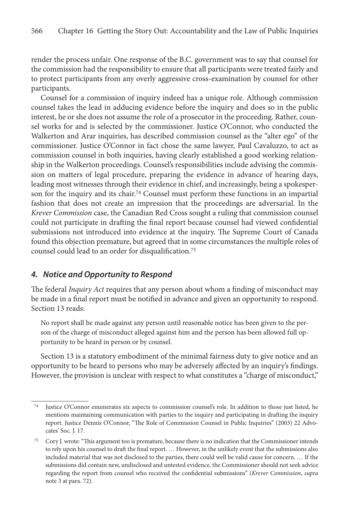<span id="page-25-0"></span>render the process unfair. One response of the B.C. government was to say that counsel for the commission had the responsibility to ensure that all participants were treated fairly and to protect participants from any overly aggressive cross-examination by counsel for other participants.

Counsel for a commission of inquiry indeed has a unique role. Although commission counsel takes the lead in adducing evidence before the inquiry and does so in the public interest, he or she does not assume the role of a prosecutor in the proceeding. Rather, counsel works for and is selected by the commissioner. Justice O'Connor, who conducted the Walkerton and Arar inquiries, has described commission counsel as the "alter ego" of the commissioner. Justice O'Connor in fact chose the same lawyer, Paul Cavaluzzo, to act as commission counsel in both inquiries, having clearly established a good working relationship in the Walkerton proceedings. Counsel's responsibilities include advising the commission on matters of legal procedure, preparing the evidence in advance of hearing days, leading most witnesses through their evidence in chief, and increasingly, being a spokesperson for the inquiry and its chair.74 Counsel must perform these functions in an impartial fashion that does not create an impression that the proceedings are adversarial. In the *Krever Commission* case, the Canadian Red Cross sought a ruling that commission counsel could not participate in drafting the final report because counsel had viewed confidential submissions not introduced into evidence at the inquiry. The Supreme Court of Canada found this objection premature, but agreed that in some circumstances the multiple roles of counsel could lead to an order for disqualification.75

## *4. Notice and Opportunity to Respond*

The federal *Inquiry Act* requires that any person about whom a finding of misconduct may be made in a final report must be notified in advance and given an opportunity to respond. Section 13 reads:

No report shall be made against any person until reasonable notice has been given to the person of the charge of misconduct alleged against him and the person has been allowed full opportunity to be heard in person or by counsel.

Section 13 is a statutory embodiment of the minimal fairness duty to give notice and an opportunity to be heard to persons who may be adversely affected by an inquiry's findings. However, the provision is unclear with respect to what constitutes a "charge of misconduct,"

<sup>74</sup> Justice O'Connor enumerates six aspects to commission counsel's role. In addition to those just listed, he mentions maintaining communication with parties to the inquiry and participating in drafting the inquiry report. Justice Dennis O'Connor, "The Role of Commission Counsel in Public Inquiries" (2003) 22 Advocates' Soc. J. 17.

<sup>&</sup>lt;sup>75</sup> Cory J. wrote: "This argument too is premature, because there is no indication that the Commissioner intends to rely upon his counsel to draft the final report. … However, in the unlikely event that the submissions also included material that was not disclosed to the parties, there could well be valid cause for concern. … If the submissions did contain new, undisclosed and untested evidence, the Commissioner should not seek advice regarding the report from counsel who received the confidential submissions" (*Krever Commission*, *supra* note 3 at para. 72).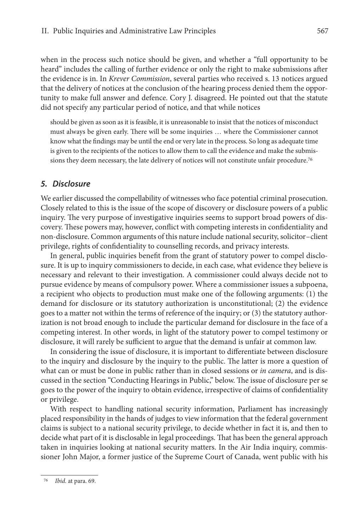<span id="page-26-0"></span>when in the process such notice should be given, and whether a "full opportunity to be heard" includes the calling of further evidence or only the right to make submissions after the evidence is in. In *Krever Commission*, several parties who received s. 13 notices argued that the delivery of notices at the conclusion of the hearing process denied them the opportunity to make full answer and defence. Cory J. disagreed. He pointed out that the statute did not specify any particular period of notice, and that while notices

should be given as soon as it is feasible, it is unreasonable to insist that the notices of misconduct must always be given early. There will be some inquiries … where the Commissioner cannot know what the findings may be until the end or very late in the process. So long as adequate time is given to the recipients of the notices to allow them to call the evidence and make the submissions they deem necessary, the late delivery of notices will not constitute unfair procedure.<sup>76</sup>

#### *5. Disclosure*

We earlier discussed the compellability of witnesses who face potential criminal prosecution. Closely related to this is the issue of the scope of discovery or disclosure powers of a public inquiry. The very purpose of investigative inquiries seems to support broad powers of discovery. These powers may, however, conflict with competing interests in confidentiality and non-disclosure. Common arguments of this nature include national security, solicitor–client privilege, rights of confidentiality to counselling records, and privacy interests.

In general, public inquiries benefit from the grant of statutory power to compel disclosure. It is up to inquiry commissioners to decide, in each case, what evidence they believe is necessary and relevant to their investigation. A commissioner could always decide not to pursue evidence by means of compulsory power. Where a commissioner issues a subpoena, a recipient who objects to production must make one of the following arguments: (1) the demand for disclosure or its statutory authorization is unconstitutional; (2) the evidence goes to a matter not within the terms of reference of the inquiry; or (3) the statutory authorization is not broad enough to include the particular demand for disclosure in the face of a competing interest. In other words, in light of the statutory power to compel testimony or disclosure, it will rarely be sufficient to argue that the demand is unfair at common law.

In considering the issue of disclosure, it is important to differentiate between disclosure to the inquiry and disclosure by the inquiry to the public. The latter is more a question of what can or must be done in public rather than in closed sessions or *in camera*, and is discussed in the section "Conducting Hearings in Public," below. The issue of disclosure per se goes to the power of the inquiry to obtain evidence, irrespective of claims of confidentiality or privilege.

With respect to handling national security information, Parliament has increasingly placed responsibility in the hands of judges to view information that the federal government claims is subject to a national security privilege, to decide whether in fact it is, and then to decide what part of it is disclosable in legal proceedings. That has been the general approach taken in inquiries looking at national security matters. In the Air India inquiry, commissioner John Major, a former justice of the Supreme Court of Canada, went public with his

*Ibid.* at para. 69.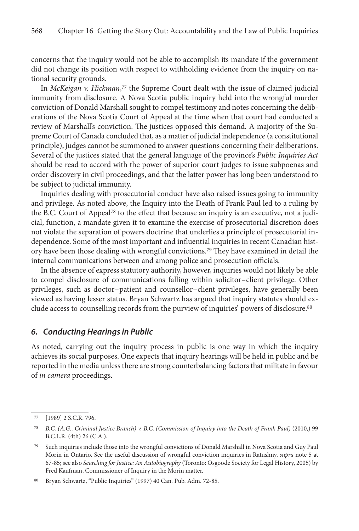<span id="page-27-0"></span>concerns that the inquiry would not be able to accomplish its mandate if the government did not change its position with respect to withholding evidence from the inquiry on national security grounds.

In *McKeigan v. Hickman*, <sup>77</sup> the Supreme Court dealt with the issue of claimed judicial immunity from disclosure. A Nova Scotia public inquiry held into the wrongful murder conviction of Donald Marshall sought to compel testimony and notes concerning the deliberations of the Nova Scotia Court of Appeal at the time when that court had conducted a review of Marshall's conviction. The justices opposed this demand. A majority of the Supreme Court of Canada concluded that, as a matter of judicial independence (a constitutional principle), judges cannot be summoned to answer questions concerning their deliberations. Several of the justices stated that the general language of the province's *Public Inquiries Act* should be read to accord with the power of superior court judges to issue subpoenas and order discovery in civil proceedings, and that the latter power has long been understood to be subject to judicial immunity.

Inquiries dealing with prosecutorial conduct have also raised issues going to immunity and privilege. As noted above, the Inquiry into the Death of Frank Paul led to a ruling by the B.C. Court of Appeal<sup>78</sup> to the effect that because an inquiry is an executive, not a judicial, function, a mandate given it to examine the exercise of prosecutorial discretion does not violate the separation of powers doctrine that underlies a principle of prosecutorial independence. Some of the most important and influential inquiries in recent Canadian history have been those dealing with wrongful convictions.79 They have examined in detail the internal communications between and among police and prosecution officials.

In the absence of express statutory authority, however, inquiries would not likely be able to compel disclosure of communications falling within solicitor–client privilege. Other privileges, such as doctor–patient and counsellor–client privileges, have generally been viewed as having lesser status. Bryan Schwartz has argued that inquiry statutes should exclude access to counselling records from the purview of inquiries' powers of disclosure.<sup>80</sup>

## *6. Conducting Hearingsin Public*

As noted, carrying out the inquiry process in public is one way in which the inquiry achieves its social purposes. One expects that inquiry hearings will be held in public and be reported in the media unless there are strong counterbalancing factors that militate in favour of *in camera* proceedings.

<sup>77 [1989]</sup> 2 S.C.R. 796.

<sup>78</sup> *B.C. (A.G., Criminal Justice Branch) v. B.C. (Commission of Inquiry into the Death of Frank Paul)* (2010,) 99 B.C.L.R. (4th) 26 (C.A.).

<sup>79</sup> Such inquiries include those into the wrongful convictions of Donald Marshall in Nova Scotia and Guy Paul Morin in Ontario. See the useful discussion of wrongful conviction inquiries in Ratushny, *supra* note 5 at 67-85; see also *Searching for Justice: An Autobiography* (Toronto: Osgoode Society for Legal History, 2005) by Fred Kaufman, Commissioner of Inquiry in the Morin matter.

<sup>80</sup> Bryan Schwartz, "Public Inquiries" (1997) 40 Can. Pub. Adm. 72-85.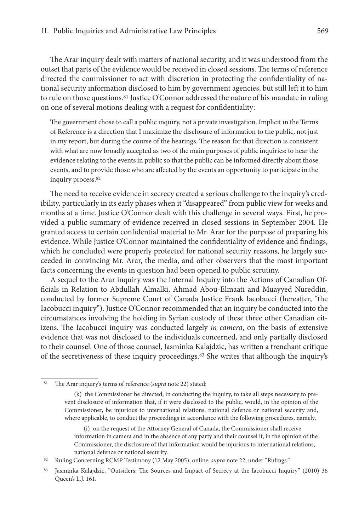The Arar inquiry dealt with matters of national security, and it was understood from the outset that parts of the evidence would be received in closed sessions. The terms of reference directed the commissioner to act with discretion in protecting the confidentiality of national security information disclosed to him by government agencies, but still left it to him to rule on those questions.81 Justice O'Connor addressed the nature of his mandate in ruling on one of several motions dealing with a request for confidentiality:

The government chose to call a public inquiry, not a private investigation. Implicit in the Terms of Reference is a direction that I maximize the disclosure of information to the public, not just in my report, but during the course of the hearings. The reason for that direction is consistent with what are now broadly accepted as two of the main purposes of public inquiries: to hear the evidence relating to the events in public so that the public can be informed directly about those events, and to provide those who are affected by the events an opportunity to participate in the inquiry process.82

The need to receive evidence in secrecy created a serious challenge to the inquiry's credibility, particularly in its early phases when it "disappeared" from public view for weeks and months at a time. Justice O'Connor dealt with this challenge in several ways. First, he provided a public summary of evidence received in closed sessions in September 2004. He granted access to certain confidential material to Mr. Arar for the purpose of preparing his evidence. While Justice O'Connor maintained the confidentiality of evidence and findings, which he concluded were properly protected for national security reasons, he largely succeeded in convincing Mr. Arar, the media, and other observers that the most important facts concerning the events in question had been opened to public scrutiny.

A sequel to the Arar inquiry was the Internal Inquiry into the Actions of Canadian Officials in Relation to Abdullah Almalki, Ahmad Abou-Elmaati and Muayyed Nureddin, conducted by former Supreme Court of Canada Justice Frank Iacobucci (hereafter, "the Iacobucci inquiry"). Justice O'Connor recommended that an inquiry be conducted into the circumstances involving the holding in Syrian custody of these three other Canadian citizens. The Iacobucci inquiry was conducted largely *in camera*, on the basis of extensive evidence that was not disclosed to the individuals concerned, and only partially disclosed to their counsel. One of those counsel, Jasminka Kalajdzic, has written a trenchant critique of the secretiveness of these inquiry proceedings.83 She writes that although the inquiry's

<sup>&</sup>lt;sup>81</sup> The Arar inquiry's terms of reference (*supra* note 22) stated:

<sup>(</sup>k) the Commissioner be directed, in conducting the inquiry, to take all steps necessary to prevent disclosure of information that, if it were disclosed to the public, would, in the opinion of the Commissioner, be injurious to international relations, national defence or national security and, where applicable, to conduct the proceedings in accordance with the following procedures, namely,

<sup>(</sup>i) on the request of the Attorney General of Canada, the Commissioner shall receive information in camera and in the absence of any party and their counsel if, in the opinion of the Commissioner, the disclosure of that information would be injurious to international relations, national defence or national security.

<sup>82</sup> Ruling Concerning RCMP Testimony (12 May 2005), online: *supra* note 22, under "Rulings."

<sup>83</sup> Jasminka Kalajdzic, "Outsiders: The Sources and Impact of Secrecy at the Iacobucci Inquiry" (2010) 36 Queen's L.J. 161.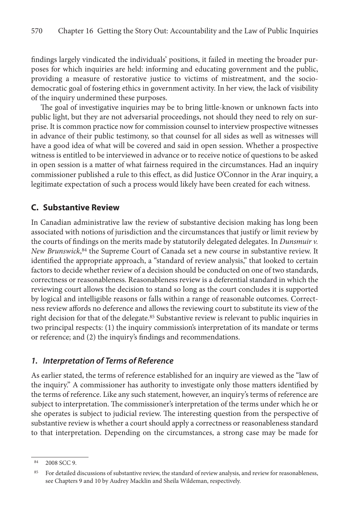<span id="page-29-0"></span>findings largely vindicated the individuals' positions, it failed in meeting the broader purposes for which inquiries are held: informing and educating government and the public, providing a measure of restorative justice to victims of mistreatment, and the sociodemocratic goal of fostering ethics in government activity. In her view, the lack of visibility of the inquiry undermined these purposes.

The goal of investigative inquiries may be to bring little-known or unknown facts into public light, but they are not adversarial proceedings, not should they need to rely on surprise. It is common practice now for commission counsel to interview prospective witnesses in advance of their public testimony, so that counsel for all sides as well as witnesses will have a good idea of what will be covered and said in open session. Whether a prospective witness is entitled to be interviewed in advance or to receive notice of questions to be asked in open session is a matter of what fairness required in the circumstances. Had an inquiry commissioner published a rule to this effect, as did Justice O'Connor in the Arar inquiry, a legitimate expectation of such a process would likely have been created for each witness.

## **C. Substantive Review**

In Canadian administrative law the review of substantive decision making has long been associated with notions of jurisdiction and the circumstances that justify or limit review by the courts of findings on the merits made by statutorily delegated delegates. In *Dunsmuir v. New Brunswick*, <sup>84</sup> the Supreme Court of Canada set a new course in substantive review. It identified the appropriate approach, a "standard of review analysis," that looked to certain factors to decide whether review of a decision should be conducted on one of two standards, correctness or reasonableness. Reasonableness review is a deferential standard in which the reviewing court allows the decision to stand so long as the court concludes it is supported by logical and intelligible reasons or falls within a range of reasonable outcomes. Correctness review affords no deference and allows the reviewing court to substitute its view of the right decision for that of the delegate.<sup>85</sup> Substantive review is relevant to public inquiries in two principal respects: (1) the inquiry commission's interpretation of its mandate or terms or reference; and (2) the inquiry's findings and recommendations.

## *1. Interpretation of Terms of Reference*

As earlier stated, the terms of reference established for an inquiry are viewed as the "law of the inquiry." A commissioner has authority to investigate only those matters identified by the terms of reference. Like any such statement, however, an inquiry's terms of reference are subject to interpretation. The commissioner's interpretation of the terms under which he or she operates is subject to judicial review. The interesting question from the perspective of substantive review is whether a court should apply a correctness or reasonableness standard to that interpretation. Depending on the circumstances, a strong case may be made for

<sup>84 2008</sup> SCC 9.

<sup>85</sup> For detailed discussions of substantive review, the standard of review analysis, and review for reasonableness, see Chapters 9 and 10 by Audrey Macklin and Sheila Wildeman, respectively.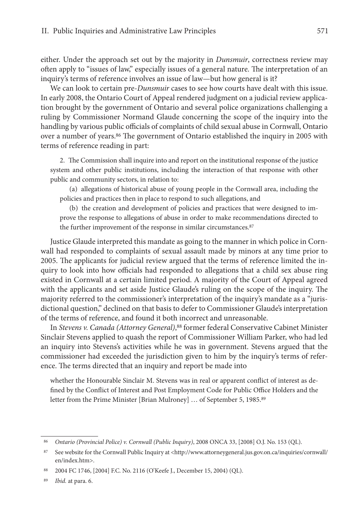either. Under the approach set out by the majority in *Dunsmuir*, correctness review may often apply to "issues of law," especially issues of a general nature. The interpretation of an inquiry's terms of reference involves an issue of law—but how general is it?

We can look to certain pre-*Dunsmuir* cases to see how courts have dealt with this issue. In early 2008, the Ontario Court of Appeal rendered judgment on a judicial review application brought by the government of Ontario and several police organizations challenging a ruling by Commissioner Normand Glaude concerning the scope of the inquiry into the handling by various public officials of complaints of child sexual abuse in Cornwall, Ontario over a number of years.<sup>86</sup> The government of Ontario established the inquiry in 2005 with terms of reference reading in part:

2. The Commission shall inquire into and report on the institutional response of the justice system and other public institutions, including the interaction of that response with other public and community sectors, in relation to:

(a) allegations of historical abuse of young people in the Cornwall area, including the policies and practices then in place to respond to such allegations, and

(b) the creation and development of policies and practices that were designed to improve the response to allegations of abuse in order to make recommendations directed to the further improvement of the response in similar circumstances.<sup>87</sup>

Justice Glaude interpreted this mandate as going to the manner in which police in Cornwall had responded to complaints of sexual assault made by minors at any time prior to 2005. The applicants for judicial review argued that the terms of reference limited the inquiry to look into how officials had responded to allegations that a child sex abuse ring existed in Cornwall at a certain limited period. A majority of the Court of Appeal agreed with the applicants and set aside Justice Glaude's ruling on the scope of the inquiry. The majority referred to the commissioner's interpretation of the inquiry's mandate as a "jurisdictional question," declined on that basis to defer to Commissioner Glaude's interpretation of the terms of reference, and found it both incorrect and unreasonable.

In *Stevens v. Canada (Attorney General)*, <sup>88</sup> former federal Conservative Cabinet Minister Sinclair Stevens applied to quash the report of Commissioner William Parker, who had led an inquiry into Stevens's activities while he was in government. Stevens argued that the commissioner had exceeded the jurisdiction given to him by the inquiry's terms of reference. The terms directed that an inquiry and report be made into

whether the Honourable Sinclair M. Stevens was in real or apparent conflict of interest as defined by the Conflict of Interest and Post Employment Code for Public Office Holders and the letter from the Prime Minister [Brian Mulroney] … of September 5, 1985.89

<sup>86</sup> *Ontario (Provincial Police) v. Cornwall (Public Inquiry)*, 2008 ONCA 33, [2008] O.J. No. 153 (QL).

<sup>87</sup> See website for the Cornwall Public Inquiry at <[http://www.attorneygeneral.jus.gov.on.ca/inquiries/cornwall/](http://www.attorneygeneral.jus.gov.on.ca/inquiries/cornwall/en/index.htm) [en/index.htm](http://www.attorneygeneral.jus.gov.on.ca/inquiries/cornwall/en/index.htm)>.

<sup>88 2004</sup> FC 1746, [2004] F.C. No. 2116 (O'Keefe J., December 15, 2004) (QL).

<sup>89</sup> *Ibid.* at para. 6.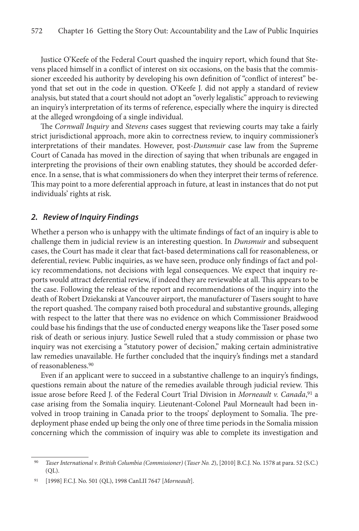<span id="page-31-0"></span>Justice O'Keefe of the Federal Court quashed the inquiry report, which found that Stevens placed himself in a conflict of interest on six occasions, on the basis that the commissioner exceeded his authority by developing his own definition of "conflict of interest" beyond that set out in the code in question. O'Keefe J. did not apply a standard of review analysis, but stated that a court should not adopt an "overly legalistic" approach to reviewing an inquiry's interpretation of its terms of reference, especially where the inquiry is directed at the alleged wrongdoing of a single individual.

The *Cornwall Inquiry* and *Stevens* cases suggest that reviewing courts may take a fairly strict jurisdictional approach, more akin to correctness review, to inquiry commissioner's interpretations of their mandates. However, post-*Dunsmuir* case law from the Supreme Court of Canada has moved in the direction of saying that when tribunals are engaged in interpreting the provisions of their own enabling statutes, they should be accorded deference. In a sense, that is what commissioners do when they interpret their terms of reference. This may point to a more deferential approach in future, at least in instances that do not put individuals' rights at risk.

## *2. Review of Inquiry Findings*

Whether a person who is unhappy with the ultimate findings of fact of an inquiry is able to challenge them in judicial review is an interesting question. In *Dunsmuir* and subsequent cases, the Court has made it clear that fact-based determinations call for reasonableness, or deferential, review. Public inquiries, as we have seen, produce only findings of fact and policy recommendations, not decisions with legal consequences. We expect that inquiry reports would attract deferential review, if indeed they are reviewable at all. This appears to be the case. Following the release of the report and recommendations of the inquiry into the death of Robert Dziekanski at Vancouver airport, the manufacturer of Tasers sought to have the report quashed. The company raised both procedural and substantive grounds, alleging with respect to the latter that there was no evidence on which Commissioner Braidwood could base his findings that the use of conducted energy weapons like the Taser posed some risk of death or serious injury. Justice Sewell ruled that a study commission or phase two inquiry was not exercising a "statutory power of decision," making certain administrative law remedies unavailable. He further concluded that the inquiry's findings met a standard of reasonableness.90

Even if an applicant were to succeed in a substantive challenge to an inquiry's findings, questions remain about the nature of the remedies available through judicial review. This issue arose before Reed J. of the Federal Court Trial Division in *Morneault v. Canada*, <sup>91</sup> a case arising from the Somalia inquiry. Lieutenant-Colonel Paul Morneault had been involved in troop training in Canada prior to the troops' deployment to Somalia. The predeployment phase ended up being the only one of three time periods in the Somalia mission concerning which the commission of inquiry was able to complete its investigation and

<sup>90</sup> *Taser International v. British Columbia (Commissioner)* (*Taser No. 2*), [2010] B.C.J. No. 1578 at para. 52 (S.C.) (QL).

<sup>91 [1998]</sup> F.C.J. No. 501 (QL), 1998 CanLII 7647 [*Morneault*].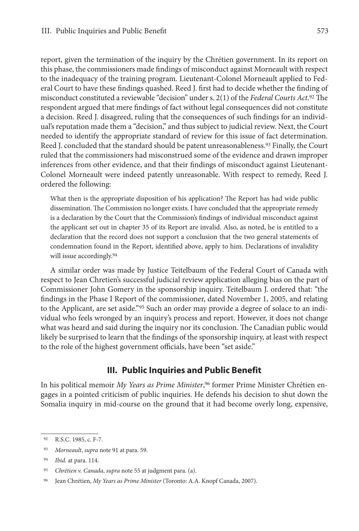<span id="page-32-0"></span>report, given the termination of the inquiry by the Chrétien government. In its report on this phase, the commissioners made findings of misconduct against Morneault with respect to the inadequacy of the training program. Lieutenant-Colonel Morneault applied to Federal Court to have these findings quashed. Reed J. first had to decide whether the finding of misconduct constituted a reviewable "decision" under s. 2(1) of the *Federal Courts Act*. <sup>92</sup> The respondent argued that mere findings of fact without legal consequences did not constitute a decision. Reed J. disagreed, ruling that the consequences of such findings for an individual's reputation made them a "decision," and thus subject to judicial review. Next, the Court needed to identify the appropriate standard of review for this issue of fact determination. Reed J. concluded that the standard should be patent unreasonableness.<sup>93</sup> Finally, the Court ruled that the commissioners had misconstrued some of the evidence and drawn improper inferences from other evidence, and that their findings of misconduct against Lieutenant-Colonel Morneault were indeed patently unreasonable. With respect to remedy, Reed J. ordered the following:

What then is the appropriate disposition of his application? The Report has had wide public dissemination. The Commission no longer exists. I have concluded that the appropriate remedy is a declaration by the Court that the Commission's findings of individual misconduct against the applicant set out in chapter 35 of its Report are invalid. Also, as noted, he is entitled to a declaration that the record does not support a conclusion that the two general statements of condemnation found in the Report, identified above, apply to him. Declarations of invalidity will issue accordingly.<sup>94</sup>

A similar order was made by Justice Teitelbaum of the Federal Court of Canada with respect to Jean Chretien's successful judicial review application alleging bias on the part of Commissioner John Gomery in the sponsorship inquiry. Teitelbaum J. ordered that: "the findings in the Phase I Report of the commissioner, dated November 1, 2005, and relating to the Applicant, are set aside."<sup>95</sup> Such an order may provide a degree of solace to an individual who feels wronged by an inquiry's process and report. However, it does not change what was heard and said during the inquiry nor its conclusion. The Canadian public would likely be surprised to learn that the findings of the sponsorship inquiry, at least with respect to the role of the highest government officials, have been "set aside."

## **III. Public Inquiries and Public Benefit**

In his political memoir *My Years as Prime Minister*, <sup>96</sup> former Prime Minister Chrétien engages in a pointed criticism of public inquiries. He defends his decision to shut down the Somalia inquiry in mid-course on the ground that it had become overly long, expensive,

<sup>92</sup> R.S.C. 1985, c. F-7.

<sup>93</sup> *Morneault*, *supra* note 91 at para. 59.

<sup>94</sup> *Ibid.* at para. 114.

<sup>95</sup> *Chrétien v. Canada*, *supra* note 55 at judgment para. (a).

<sup>96</sup> Jean Chrétien, *My Years as Prime Minister* (Toronto: A.A. Knopf Canada, 2007).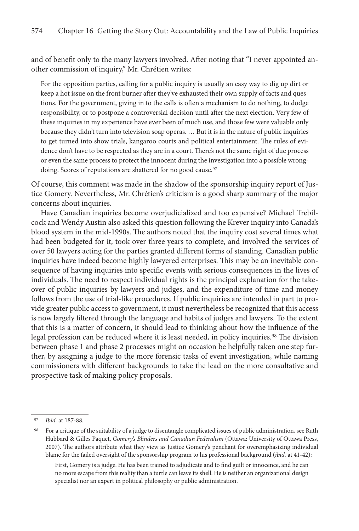and of benefit only to the many lawyers involved. After noting that "I never appointed another commission of inquiry," Mr. Chrétien writes:

For the opposition parties, calling for a public inquiry is usually an easy way to dig up dirt or keep a hot issue on the front burner after they've exhausted their own supply of facts and questions. For the government, giving in to the calls is often a mechanism to do nothing, to dodge responsibility, or to postpone a controversial decision until after the next election. Very few of these inquiries in my experience have ever been of much use, and those few were valuable only because they didn't turn into television soap operas. … But it is in the nature of public inquiries to get turned into show trials, kangaroo courts and political entertainment. The rules of evidence don't have to be respected as they are in a court. There's not the same right of due process or even the same process to protect the innocent during the investigation into a possible wrongdoing. Scores of reputations are shattered for no good cause.<sup>97</sup>

Of course, this comment was made in the shadow of the sponsorship inquiry report of Justice Gomery. Nevertheless, Mr. Chrétien's criticism is a good sharp summary of the major concerns about inquiries.

Have Canadian inquiries become overjudicialized and too expensive? Michael Trebilcock and Wendy Austin also asked this question following the Krever inquiry into Canada's blood system in the mid-1990s. The authors noted that the inquiry cost several times what had been budgeted for it, took over three years to complete, and involved the services of over 50 lawyers acting for the parties granted different forms of standing. Canadian public inquiries have indeed become highly lawyered enterprises. This may be an inevitable consequence of having inquiries into specific events with serious consequences in the lives of individuals. The need to respect individual rights is the principal explanation for the takeover of public inquiries by lawyers and judges, and the expenditure of time and money follows from the use of trial-like procedures. If public inquiries are intended in part to provide greater public access to government, it must nevertheless be recognized that this access is now largely filtered through the language and habits of judges and lawyers. To the extent that this is a matter of concern, it should lead to thinking about how the influence of the legal profession can be reduced where it is least needed, in policy inquiries.<sup>98</sup> The division between phase 1 and phase 2 processes might on occasion be helpfully taken one step further, by assigning a judge to the more forensic tasks of event investigation, while naming commissioners with different backgrounds to take the lead on the more consultative and prospective task of making policy proposals.

First, Gomery is a judge. He has been trained to adjudicate and to find guilt or innocence, and he can no more escape from this reality than a turtle can leave its shell. He is neither an organizational design specialist nor an expert in political philosophy or public administration.

<sup>97</sup> *Ibid.* at 187-88.

<sup>&</sup>lt;sup>98</sup> For a critique of the suitability of a judge to disentangle complicated issues of public administration, see Ruth Hubbard & Gilles Paquet, *Gomery's Blinders and Canadian Federalism* (Ottawa: University of Ottawa Press, 2007). The authors attribute what they view as Justice Gomery's penchant for overemphasizing individual blame for the failed oversight of the sponsorship program to his professional background (*ibid.* at 41-42):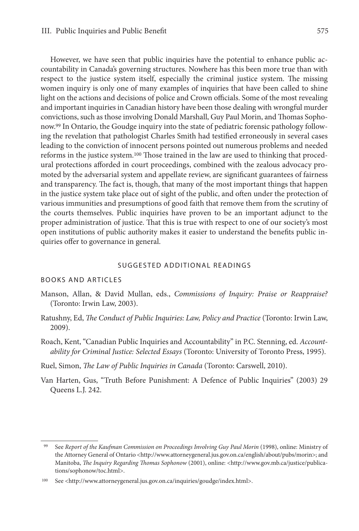<span id="page-34-0"></span>However, we have seen that public inquiries have the potential to enhance public accountability in Canada's governing structures. Nowhere has this been more true than with respect to the justice system itself, especially the criminal justice system. The missing women inquiry is only one of many examples of inquiries that have been called to shine light on the actions and decisions of police and Crown officials. Some of the most revealing and important inquiries in Canadian history have been those dealing with wrongful murder convictions, such as those involving Donald Marshall, Guy Paul Morin, and Thomas Sophonow.99 In Ontario, the Goudge inquiry into the state of pediatric forensic pathology following the revelation that pathologist Charles Smith had testified erroneously in several cases leading to the conviction of innocent persons pointed out numerous problems and needed reforms in the justice system.100 Those trained in the law are used to thinking that procedural protections afforded in court proceedings, combined with the zealous advocacy promoted by the adversarial system and appellate review, are significant guarantees of fairness and transparency. The fact is, though, that many of the most important things that happen in the justice system take place out of sight of the public, and often under the protection of various immunities and presumptions of good faith that remove them from the scrutiny of the courts themselves. Public inquiries have proven to be an important adjunct to the proper administration of justice. That this is true with respect to one of our society's most open institutions of public authority makes it easier to understand the benefits public inquiries offer to governance in general.

#### SUGGESTED ADDITIONAL READINGS

#### **BOOKS AND ARTICLES**

- Manson, Allan, & David Mullan, eds., *Commissions of Inquiry: Praise or Reappraise?* (Toronto: Irwin Law, 2003).
- Ratushny, Ed, *The Conduct of Public Inquiries: Law, Policy and Practice* (Toronto: Irwin Law, 2009).
- Roach, Kent, "Canadian Public Inquiries and Accountability" in P.C. Stenning, ed. *Accountability for Criminal Justice: Selected Essays* (Toronto: University of Toronto Press, 1995).
- Ruel, Simon, *The Law of Public Inquiries in Canada* (Toronto: Carswell, 2010).
- Van Harten, Gus, "Truth Before Punishment: A Defence of Public Inquiries" (2003) 29 Queens L.J. 242.

See Report of the Kaufman Commission on Proceedings Involving Guy Paul Morin (1998), online: Ministry of the Attorney General of Ontario [<http://www.attorneygeneral.jus.gov.on.ca/english/about/pubs/morin](http://www.attorneygeneral.jus.gov.on.ca/english/about/pubs/morin)>; and Manitoba, *The Inquiry Regarding Thomas Sophonow* (2001), online: [<http://www.gov.mb.ca/justice/publica](http://www.gov.mb.ca/justice/publications/sophonow/toc.html)[tions/sophonow/toc.html](http://www.gov.mb.ca/justice/publications/sophonow/toc.html)>.

<sup>100</sup> See <[http://www.attorneygeneral.jus.gov.on.ca/inquiries/goudge/index.html>](http://www.attorneygeneral.jus.gov.on.ca/inquiries/goudge/index.html).